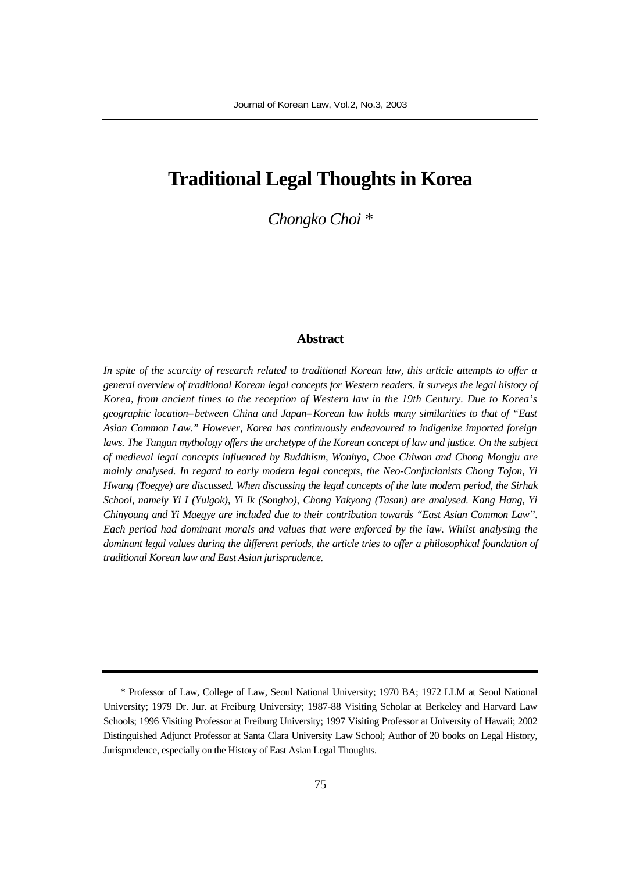# **Traditional Legal Thoughts in Korea**

*Chongko Choi \**

### **Abstract**

*In spite of the scarcity of research related to traditional Korean law, this article attempts to offer a general overview of traditional Korean legal concepts for Western readers. It surveys the legal history of Korea, from ancient times to the reception of Western law in the 19th Century. Due to Korea's geographic location--between China and Japan--Korean law holds many similarities to that of "East Asian Common Law." However, Korea has continuously endeavoured to indigenize imported foreign laws. The Tangun mythology offers the archetype of the Korean concept of law and justice. On the subject of medieval legal concepts influenced by Buddhism, Wonhyo, Choe Chiwon and Chong Mongju are mainly analysed. In regard to early modern legal concepts, the Neo-Confucianists Chong Tojon, Yi Hwang (Toegye) are discussed. When discussing the legal concepts of the late modern period, the Sirhak School, namely Yi I (Yulgok), Yi Ik (Songho), Chong Yakyong (Tasan) are analysed. Kang Hang, Yi Chinyoung and Yi Maegye are included due to their contribution towards "East Asian Common Law". Each period had dominant morals and values that were enforced by the law. Whilst analysing the dominant legal values during the different periods, the article tries to offer a philosophical foundation of traditional Korean law and East Asian jurisprudence.*

<sup>\*</sup> Professor of Law, College of Law, Seoul National University; 1970 BA; 1972 LLM at Seoul National University; 1979 Dr. Jur. at Freiburg University; 1987-88 Visiting Scholar at Berkeley and Harvard Law Schools; 1996 Visiting Professor at Freiburg University; 1997 Visiting Professor at University of Hawaii; 2002 Distinguished Adjunct Professor at Santa Clara University Law School; Author of 20 books on Legal History, Jurisprudence, especially on the History of East Asian Legal Thoughts.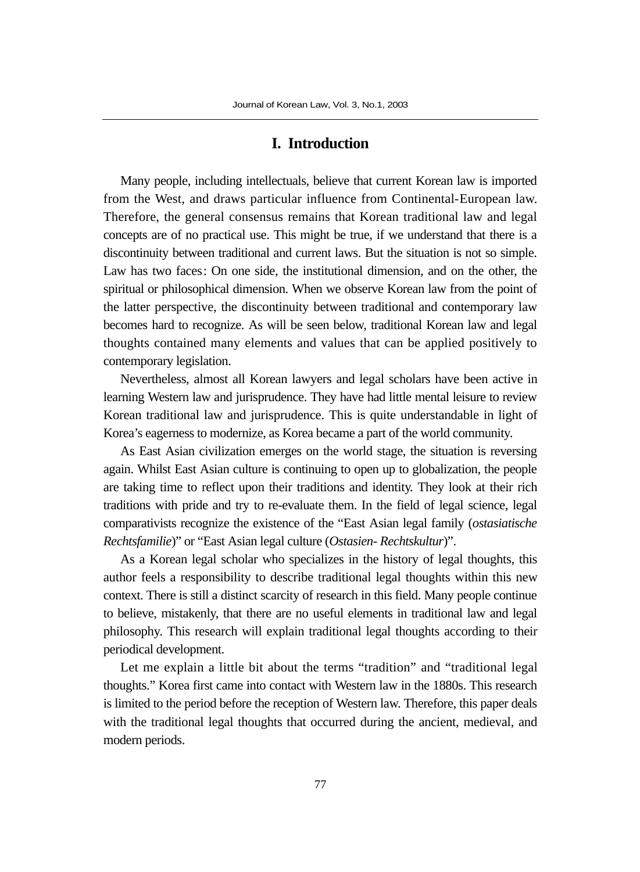# **I. Introduction**

Many people, including intellectuals, believe that current Korean law is imported from the West, and draws particular influence from Continental-European law. Therefore, the general consensus remains that Korean traditional law and legal concepts are of no practical use. This might be true, if we understand that there is a discontinuity between traditional and current laws. But the situation is not so simple. Law has two faces: On one side, the institutional dimension, and on the other, the spiritual or philosophical dimension. When we observe Korean law from the point of the latter perspective, the discontinuity between traditional and contemporary law becomes hard to recognize. As will be seen below, traditional Korean law and legal thoughts contained many elements and values that can be applied positively to contemporary legislation.

Nevertheless, almost all Korean lawyers and legal scholars have been active in learning Western law and jurisprudence. They have had little mental leisure to review Korean traditional law and jurisprudence. This is quite understandable in light of Korea's eagerness to modernize, as Korea became a part of the world community.

As East Asian civilization emerges on the world stage, the situation is reversing again. Whilst East Asian culture is continuing to open up to globalization, the people are taking time to reflect upon their traditions and identity. They look at their rich traditions with pride and try to re-evaluate them. In the field of legal science, legal comparativists recognize the existence of the "East Asian legal family (*ostasiatische Rechtsfamilie*)" or "East Asian legal culture (*Ostasien- Rechtskultur*)".

As a Korean legal scholar who specializes in the history of legal thoughts, this author feels a responsibility to describe traditional legal thoughts within this new context. There is still a distinct scarcity of research in this field. Many people continue to believe, mistakenly, that there are no useful elements in traditional law and legal philosophy. This research will explain traditional legal thoughts according to their periodical development.

Let me explain a little bit about the terms "tradition" and "traditional legal thoughts." Korea first came into contact with Western law in the 1880s. This research is limited to the period before the reception of Western law. Therefore, this paper deals with the traditional legal thoughts that occurred during the ancient, medieval, and modern periods.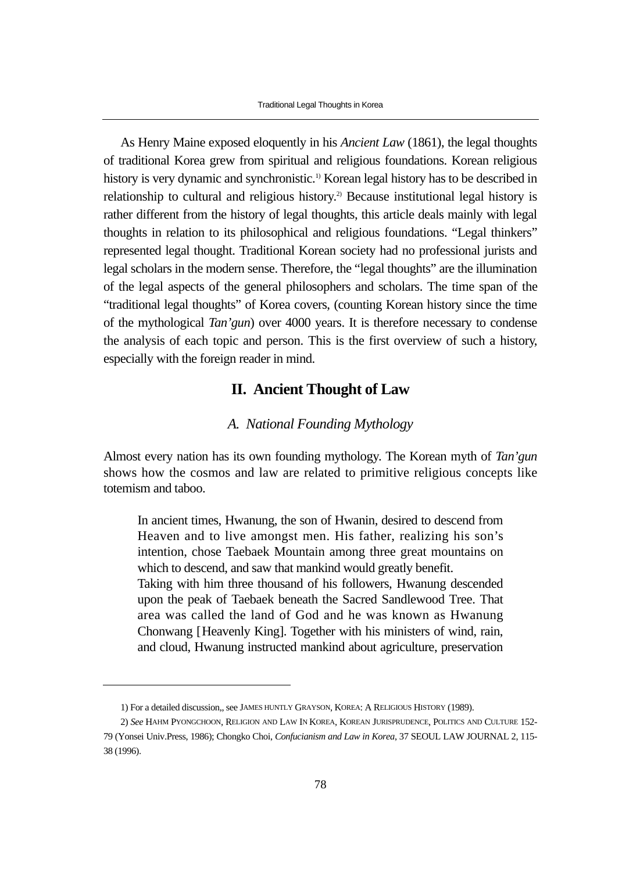As Henry Maine exposed eloquently in his *Ancient Law* (1861), the legal thoughts of traditional Korea grew from spiritual and religious foundations. Korean religious history is very dynamic and synchronistic.<sup>1)</sup> Korean legal history has to be described in relationship to cultural and religious history.<sup>2)</sup> Because institutional legal history is rather different from the history of legal thoughts, this article deals mainly with legal thoughts in relation to its philosophical and religious foundations. "Legal thinkers" represented legal thought. Traditional Korean society had no professional jurists and legal scholars in the modern sense. Therefore, the "legal thoughts" are the illumination of the legal aspects of the general philosophers and scholars. The time span of the "traditional legal thoughts" of Korea covers, (counting Korean history since the time of the mythological *Tan'gun*) over 4000 years. It is therefore necessary to condense the analysis of each topic and person. This is the first overview of such a history, especially with the foreign reader in mind.

# **II. Ancient Thought of Law**

## *A. National Founding Mythology*

Almost every nation has its own founding mythology. The Korean myth of *Tan'gun* shows how the cosmos and law are related to primitive religious concepts like totemism and taboo.

In ancient times, Hwanung, the son of Hwanin, desired to descend from Heaven and to live amongst men. His father, realizing his son's intention, chose Taebaek Mountain among three great mountains on which to descend, and saw that mankind would greatly benefit. Taking with him three thousand of his followers, Hwanung descended upon the peak of Taebaek beneath the Sacred Sandlewood Tree. That area was called the land of God and he was known as Hwanung Chonwang [Heavenly King]. Together with his ministers of wind, rain, and cloud, Hwanung instructed mankind about agriculture, preservation

<sup>1)</sup> For a detailed discussion,, see JAMES HUNTLY GRAYSON, KOREA: A RELIGIOUS HISTORY (1989).

<sup>2)</sup> *See* HAHM PYONGCHOON, RELIGION AND LAW IN KOREA, KOREAN JURISPRUDENCE, POLITICS AND CULTURE 152- 79 (Yonsei Univ.Press, 1986); Chongko Choi, *Confucianism and Law in Korea*, 37 SEOUL LAW JOURNAL 2, 115- 38 (1996).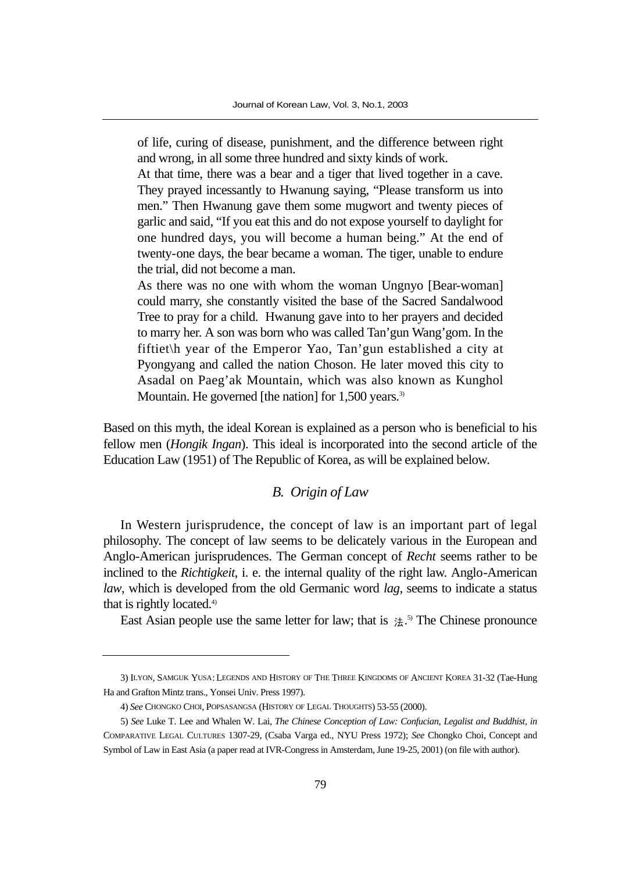of life, curing of disease, punishment, and the difference between right and wrong, in all some three hundred and sixty kinds of work.

At that time, there was a bear and a tiger that lived together in a cave. They prayed incessantly to Hwanung saying, "Please transform us into men." Then Hwanung gave them some mugwort and twenty pieces of garlic and said, "If you eat this and do not expose yourself to daylight for one hundred days, you will become a human being." At the end of twenty-one days, the bear became a woman. The tiger, unable to endure the trial, did not become a man.

As there was no one with whom the woman Ungnyo [Bear-woman] could marry, she constantly visited the base of the Sacred Sandalwood Tree to pray for a child. Hwanung gave into to her prayers and decided to marry her. A son was born who was called Tan'gun Wang'gom. In the fiftiet\h year of the Emperor Yao, Tan'gun established a city at Pyongyang and called the nation Choson. He later moved this city to Asadal on Paeg'ak Mountain, which was also known as Kunghol Mountain. He governed [the nation] for 1,500 years.<sup>3)</sup>

Based on this myth, the ideal Korean is explained as a person who is beneficial to his fellow men (*Hongik Ingan*). This ideal is incorporated into the second article of the Education Law (1951) of The Republic of Korea, as will be explained below.

# *B. Origin of Law*

In Western jurisprudence, the concept of law is an important part of legal philosophy. The concept of law seems to be delicately various in the European and Anglo-American jurisprudences. The German concept of *Recht* seems rather to be inclined to the *Richtigkeit*, i. e. the internal quality of the right law. Anglo-American *law*, which is developed from the old Germanic word *lag*, seems to indicate a status that is rightly located.4)

East Asian people use the same letter for law; that is  $\pm$ .<sup>5)</sup> The Chinese pronounce

<sup>3)</sup> ILYON, SAMGUK YUSA:LEGENDS AND HISTORY OF THE THREE KINGDOMS OF ANCIENT KOREA 31-32 (Tae-Hung Ha and Grafton Mintz trans., Yonsei Univ. Press 1997).

<sup>4)</sup> *See* CHONGKO CHOI, POPSASANGSA (HISTORY OF LEGAL THOUGHTS) 53-55 (2000).

<sup>5)</sup> *See* Luke T. Lee and Whalen W. Lai, *The Chinese Conception of Law: Confucian, Legalist and Buddhist, in* COMPARATIVE LEGAL CULTURES 1307-29, (Csaba Varga ed., NYU Press 1972); *See* Chongko Choi, Concept and Symbol of Law in East Asia (a paper read at IVR-Congress in Amsterdam, June 19-25, 2001) (on file with author).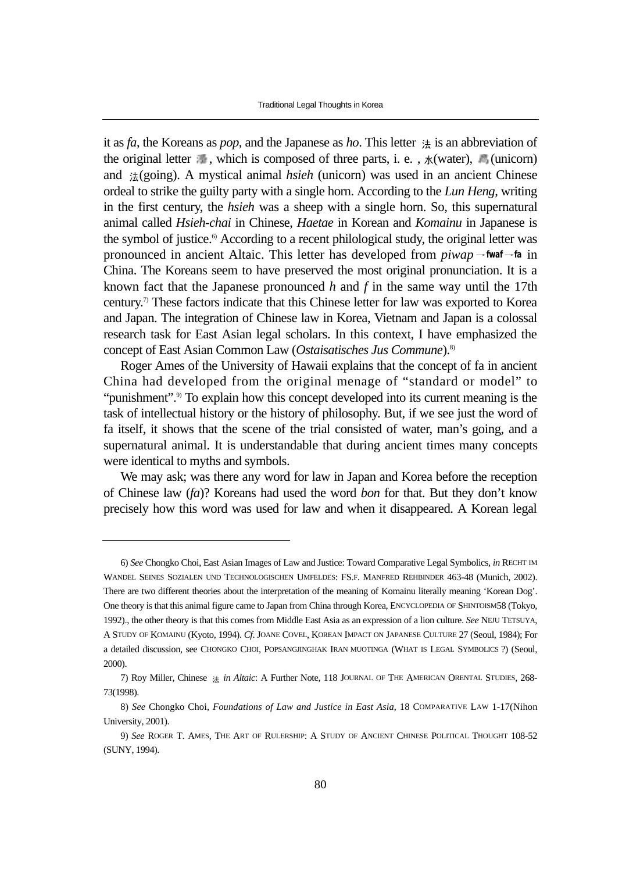Traditional Legal Thoughts in Korea

it as  $fa$ , the Koreans as *pop*, and the Japanese as *ho*. This letter  $\ddot{\sigma}$  is an abbreviation of the original letter  $\frac{1}{2\pi}$ , which is composed of three parts, i. e.,  $\mathcal{K}(\text{water})$ , (unicorn) and  $\#(going)$ . A mystical animal *hsieh* (unicorn) was used in an ancient Chinese ordeal to strike the guilty party with a single horn. According to the *Lun Heng*, writing in the first century, the *hsieh* was a sheep with a single horn. So, this supernatural animal called *Hsieh-chai* in Chinese, *Haetae* in Korean and *Komainu* in Japanese is the symbol of justice.<sup>6</sup> According to a recent philological study, the original letter was pronounced in ancient Altaic. This letter has developed from  $\frac{p_i w}{q}$  *fwaf*  $\rightarrow$  fa in China. The Koreans seem to have preserved the most original pronunciation. It is a known fact that the Japanese pronounced *h* and *f* in the same way until the 17th century.7) These factors indicate that this Chinese letter for law was exported to Korea and Japan. The integration of Chinese law in Korea, Vietnam and Japan is a colossal research task for East Asian legal scholars. In this context, I have emphasized the concept of East Asian Common Law (*Ostaisatisches Jus Commune*).8)

Roger Ames of the University of Hawaii explains that the concept of fa in ancient China had developed from the original menage of "standard or model" to "punishment".<sup>9)</sup> To explain how this concept developed into its current meaning is the task of intellectual history or the history of philosophy. But, if we see just the word of fa itself, it shows that the scene of the trial consisted of water, man's going, and a supernatural animal. It is understandable that during ancient times many concepts were identical to myths and symbols.

We may ask; was there any word for law in Japan and Korea before the reception of Chinese law (*fa*)? Koreans had used the word *bon* for that. But they don't know precisely how this word was used for law and when it disappeared. A Korean legal

<sup>6)</sup> *See* Chongko Choi, East Asian Images of Law and Justice: Toward Comparative Legal Symbolics, *in* RECHT IM WANDEL SEINES SOZIALEN UND TECHNOLOGISCHEN UMFELDES: FS.F. MANFRED REHBINDER 463-48 (Munich, 2002). There are two different theories about the interpretation of the meaning of Komainu literally meaning 'Korean Dog'. One theory is that this animal figure came to Japan from China through Korea, ENCYCLOPEDIA OF SHINTOISM58 (Tokyo, 1992)., the other theory is that this comes from Middle East Asia as an expression of a lion culture. *See* NEJU TETSUYA, A STUDY OF KOMAINU (Kyoto, 1994). *Cf*. JOANE COVEL, KOREAN IMPACT ON JAPANESE CULTURE 27 (Seoul, 1984); For a detailed discussion, see CHONGKO CHOI, POPSANGJINGHAK IRAN MUOTINGA (WHAT IS LEGAL SYMBOLICS ?) (Seoul, 2000).

<sup>7)</sup> Roy Miller, Chinese *in Altaic*: A Further Note, 118 JOURNAL OF THE AMERICAN ORENTAL STUDIES, 268- 73(1998).

<sup>8)</sup> *See* Chongko Choi, *Foundations of Law and Justice in East Asia*, 18 COMPARATIVE LAW 1-17(Nihon University, 2001).

<sup>9)</sup> *See* ROGER T. AMES, THE ART OF RULERSHIP: A STUDY OF ANCIENT CHINESE POLITICAL THOUGHT 108-52 (SUNY, 1994).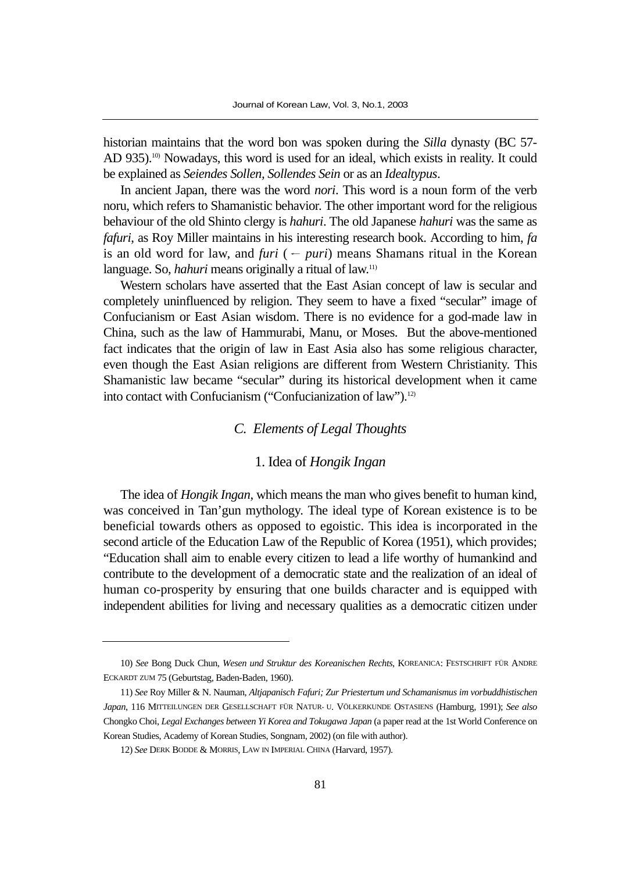historian maintains that the word bon was spoken during the *Silla* dynasty (BC 57- AD 935).<sup>10)</sup> Nowadays, this word is used for an ideal, which exists in reality. It could be explained as *Seiendes Sollen, Sollendes Sein* or as an *Idealtypus*.

In ancient Japan, there was the word *nori*. This word is a noun form of the verb noru, which refers to Shamanistic behavior. The other important word for the religious behaviour of the old Shinto clergy is *hahuri*. The old Japanese *hahuri* was the same as *fafuri*, as Roy Miller maintains in his interesting research book. According to him, *fa* is an old word for law, and *furi* ( $-puri$ ) means Shamans ritual in the Korean language. So, *hahuri* means originally a ritual of law.<sup>11)</sup>

Western scholars have asserted that the East Asian concept of law is secular and completely uninfluenced by religion. They seem to have a fixed "secular" image of Confucianism or East Asian wisdom. There is no evidence for a god-made law in China, such as the law of Hammurabi, Manu, or Moses. But the above-mentioned fact indicates that the origin of law in East Asia also has some religious character, even though the East Asian religions are different from Western Christianity. This Shamanistic law became "secular" during its historical development when it came into contact with Confucianism ("Confucianization of law").<sup>12)</sup>

# *C. Elements of Legal Thoughts*

#### 1. Idea of *Hongik Ingan*

The idea of *Hongik Ingan*, which means the man who gives benefit to human kind, was conceived in Tan'gun mythology. The ideal type of Korean existence is to be beneficial towards others as opposed to egoistic. This idea is incorporated in the second article of the Education Law of the Republic of Korea (1951), which provides; "Education shall aim to enable every citizen to lead a life worthy of humankind and contribute to the development of a democratic state and the realization of an ideal of human co-prosperity by ensuring that one builds character and is equipped with independent abilities for living and necessary qualities as a democratic citizen under

<sup>10)</sup> *See* Bong Duck Chun, *Wesen und Struktur des Koreanischen Rechts*, KOREANICA: FESTSCHRIFT FÜR ANDRE ECKARDT ZUM 75 (Geburtstag, Baden-Baden, 1960).

<sup>11)</sup> *See* Roy Miller & N. Nauman, *Altjapanisch Fafuri; Zur Priestertum und Schamanismus im vorbuddhistischen Japan*, 116 MITTEILUNGEN DER GESELLSCHAFT FÜR NATUR- U. VÖLKERKUNDE OSTASIENS (Hamburg, 1991); *See also* Chongko Choi, *Legal Exchanges between Yi Korea and Tokugawa Japan* (a paper read at the 1st World Conference on Korean Studies, Academy of Korean Studies, Songnam, 2002) (on file with author).

<sup>12)</sup> *See* DERK BODDE & MORRIS, LAW IN IMPERIAL CHINA (Harvard, 1957).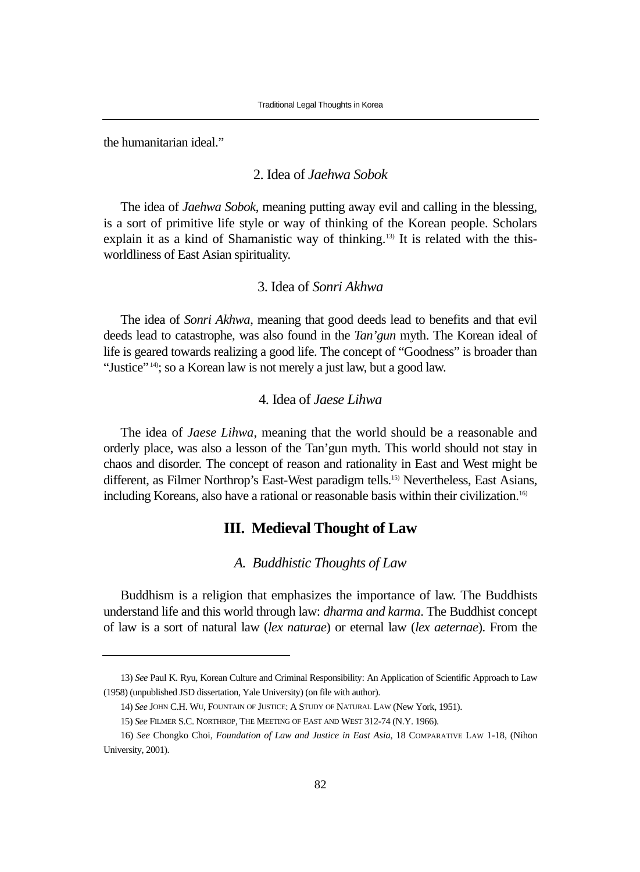the humanitarian ideal."

# 2. Idea of *Jaehwa Sobok*

The idea of *Jaehwa Sobok*, meaning putting away evil and calling in the blessing, is a sort of primitive life style or way of thinking of the Korean people. Scholars explain it as a kind of Shamanistic way of thinking.<sup>13)</sup> It is related with the thisworldliness of East Asian spirituality.

# 3. Idea of *Sonri Akhwa*

The idea of *Sonri Akhwa*, meaning that good deeds lead to benefits and that evil deeds lead to catastrophe, was also found in the *Tan'gun* myth. The Korean ideal of life is geared towards realizing a good life. The concept of "Goodness" is broader than "Justice"<sup>14)</sup>; so a Korean law is not merely a just law, but a good law.

# 4. Idea of *Jaese Lihwa*

The idea of *Jaese Lihwa*, meaning that the world should be a reasonable and orderly place, was also a lesson of the Tan'gun myth. This world should not stay in chaos and disorder. The concept of reason and rationality in East and West might be different, as Filmer Northrop's East-West paradigm tells.15) Nevertheless, East Asians, including Koreans, also have a rational or reasonable basis within their civilization.16)

### **III. Medieval Thought of Law**

#### *A. Buddhistic Thoughts of Law*

Buddhism is a religion that emphasizes the importance of law. The Buddhists understand life and this world through law: *dharma and karma*. The Buddhist concept of law is a sort of natural law (*lex naturae*) or eternal law (*lex aeternae*). From the

<sup>13)</sup> *See* Paul K. Ryu, Korean Culture and Criminal Responsibility: An Application of Scientific Approach to Law (1958) (unpublished JSD dissertation, Yale University) (on file with author).

<sup>14)</sup> *See* JOHN C.H. WU, FOUNTAIN OF JUSTICE: A STUDY OF NATURAL LAW (New York, 1951).

<sup>15)</sup> *See* FILMER S.C. NORTHROP, THE MEETING OF EAST AND WEST 312-74 (N.Y. 1966).

<sup>16)</sup> *See* Chongko Choi, *Foundation of Law and Justice in East Asia*, 18 COMPARATIVE LAW 1-18, (Nihon University, 2001).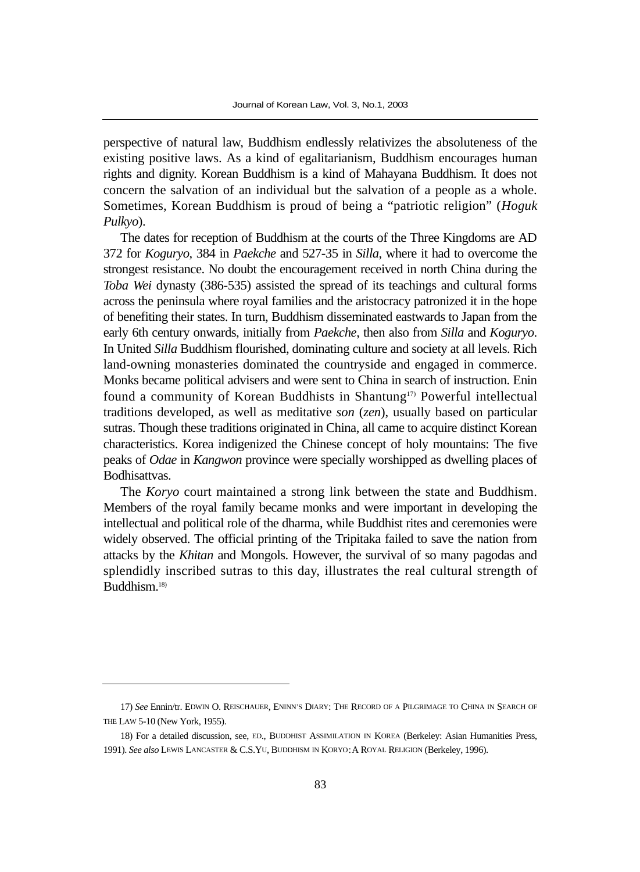perspective of natural law, Buddhism endlessly relativizes the absoluteness of the existing positive laws. As a kind of egalitarianism, Buddhism encourages human rights and dignity. Korean Buddhism is a kind of Mahayana Buddhism. It does not concern the salvation of an individual but the salvation of a people as a whole. Sometimes, Korean Buddhism is proud of being a "patriotic religion" (*Hoguk Pulkyo*).

The dates for reception of Buddhism at the courts of the Three Kingdoms are AD 372 for *Koguryo*, 384 in *Paekche* and 527-35 in *Silla*, where it had to overcome the strongest resistance. No doubt the encouragement received in north China during the *Toba Wei* dynasty (386-535) assisted the spread of its teachings and cultural forms across the peninsula where royal families and the aristocracy patronized it in the hope of benefiting their states. In turn, Buddhism disseminated eastwards to Japan from the early 6th century onwards, initially from *Paekche*, then also from *Silla* and *Koguryo*. In United *Silla* Buddhism flourished, dominating culture and society at all levels. Rich land-owning monasteries dominated the countryside and engaged in commerce. Monks became political advisers and were sent to China in search of instruction. Enin found a community of Korean Buddhists in Shantung<sup>17)</sup> Powerful intellectual traditions developed, as well as meditative *son* (*zen*), usually based on particular sutras. Though these traditions originated in China, all came to acquire distinct Korean characteristics. Korea indigenized the Chinese concept of holy mountains: The five peaks of *Odae* in *Kangwon* province were specially worshipped as dwelling places of Bodhisattvas.

The *Koryo* court maintained a strong link between the state and Buddhism. Members of the royal family became monks and were important in developing the intellectual and political role of the dharma, while Buddhist rites and ceremonies were widely observed. The official printing of the Tripitaka failed to save the nation from attacks by the *Khitan* and Mongols. However, the survival of so many pagodas and splendidly inscribed sutras to this day, illustrates the real cultural strength of Buddhism.18)

<sup>17)</sup> *See* Ennin/tr. EDWIN O. REISCHAUER, ENINN'S DIARY: THE RECORD OF A PILGRIMAGE TO CHINA IN SEARCH OF THE LAW 5-10 (New York, 1955).

<sup>18)</sup> For a detailed discussion, see, ED., BUDDHIST ASSIMILATION IN KOREA (Berkeley: Asian Humanities Press, 1991). *See also* LEWIS LANCASTER & C.S.YU, BUDDHISM IN KORYO:A ROYAL RELIGION (Berkeley, 1996).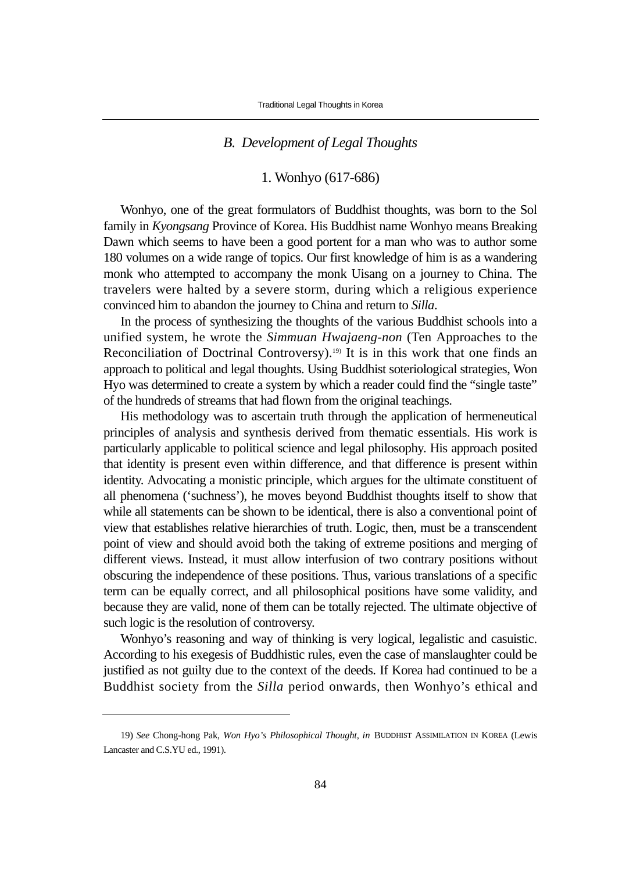#### *B. Development of Legal Thoughts*

# 1. Wonhyo (617-686)

Wonhyo, one of the great formulators of Buddhist thoughts, was born to the Sol family in *Kyongsang* Province of Korea. His Buddhist name Wonhyo means Breaking Dawn which seems to have been a good portent for a man who was to author some 180 volumes on a wide range of topics. Our first knowledge of him is as a wandering monk who attempted to accompany the monk Uisang on a journey to China. The travelers were halted by a severe storm, during which a religious experience convinced him to abandon the journey to China and return to *Silla*.

In the process of synthesizing the thoughts of the various Buddhist schools into a unified system, he wrote the *Simmuan Hwajaeng-non* (Ten Approaches to the Reconciliation of Doctrinal Controversy).<sup>19)</sup> It is in this work that one finds an approach to political and legal thoughts. Using Buddhist soteriological strategies, Won Hyo was determined to create a system by which a reader could find the "single taste" of the hundreds of streams that had flown from the original teachings.

His methodology was to ascertain truth through the application of hermeneutical principles of analysis and synthesis derived from thematic essentials. His work is particularly applicable to political science and legal philosophy. His approach posited that identity is present even within difference, and that difference is present within identity. Advocating a monistic principle, which argues for the ultimate constituent of all phenomena ('suchness'), he moves beyond Buddhist thoughts itself to show that while all statements can be shown to be identical, there is also a conventional point of view that establishes relative hierarchies of truth. Logic, then, must be a transcendent point of view and should avoid both the taking of extreme positions and merging of different views. Instead, it must allow interfusion of two contrary positions without obscuring the independence of these positions. Thus, various translations of a specific term can be equally correct, and all philosophical positions have some validity, and because they are valid, none of them can be totally rejected. The ultimate objective of such logic is the resolution of controversy.

Wonhyo's reasoning and way of thinking is very logical, legalistic and casuistic. According to his exegesis of Buddhistic rules, even the case of manslaughter could be justified as not guilty due to the context of the deeds. If Korea had continued to be a Buddhist society from the *Silla* period onwards, then Wonhyo's ethical and

<sup>19)</sup> *See* Chong-hong Pak, *Won Hyo's Philosophical Thought, in* BUDDHIST ASSIMILATION IN KOREA (Lewis Lancaster and C.S.YU ed., 1991).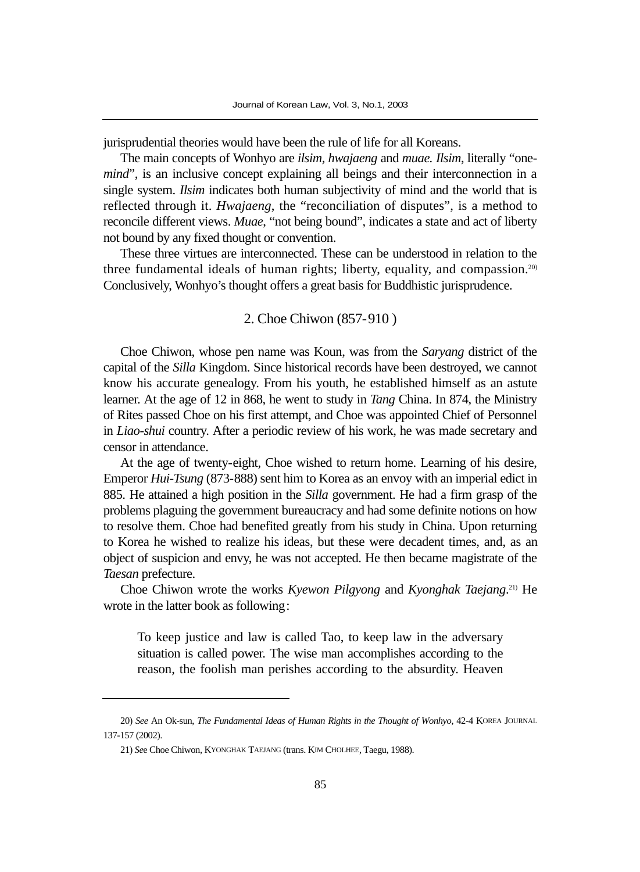jurisprudential theories would have been the rule of life for all Koreans.

The main concepts of Wonhyo are *ilsim, hwajaeng* and *muae. Ilsim*, literally "one*mind*", is an inclusive concept explaining all beings and their interconnection in a single system. *Ilsim* indicates both human subjectivity of mind and the world that is reflected through it. *Hwajaeng*, the "reconciliation of disputes", is a method to reconcile different views. *Muae*, "not being bound", indicates a state and act of liberty not bound by any fixed thought or convention.

These three virtues are interconnected. These can be understood in relation to the three fundamental ideals of human rights; liberty, equality, and compassion.<sup>20)</sup> Conclusively, Wonhyo's thought offers a great basis for Buddhistic jurisprudence.

#### 2. Choe Chiwon (857-910 )

Choe Chiwon, whose pen name was Koun, was from the *Saryang* district of the capital of the *Silla* Kingdom. Since historical records have been destroyed, we cannot know his accurate genealogy. From his youth, he established himself as an astute learner. At the age of 12 in 868, he went to study in *Tang* China. In 874, the Ministry of Rites passed Choe on his first attempt, and Choe was appointed Chief of Personnel in *Liao-shui* country. After a periodic review of his work, he was made secretary and censor in attendance.

At the age of twenty-eight, Choe wished to return home. Learning of his desire, Emperor *Hui-Tsung* (873-888) sent him to Korea as an envoy with an imperial edict in 885. He attained a high position in the *Silla* government. He had a firm grasp of the problems plaguing the government bureaucracy and had some definite notions on how to resolve them. Choe had benefited greatly from his study in China. Upon returning to Korea he wished to realize his ideas, but these were decadent times, and, as an object of suspicion and envy, he was not accepted. He then became magistrate of the *Taesan* prefecture.

Choe Chiwon wrote the works *Kyewon Pilgyong* and *Kyonghak Taejang*. 21) He wrote in the latter book as following:

To keep justice and law is called Tao, to keep law in the adversary situation is called power. The wise man accomplishes according to the reason, the foolish man perishes according to the absurdity. Heaven

<sup>20)</sup> *See* An Ok-sun, *The Fundamental Ideas of Human Rights in the Thought of Wonhyo*, 42-4 KOREA JOURNAL 137-157 (2002).

<sup>21)</sup> *Se*e Choe Chiwon, KYONGHAK TAEJANG (trans. KIM CHOLHEE, Taegu, 1988).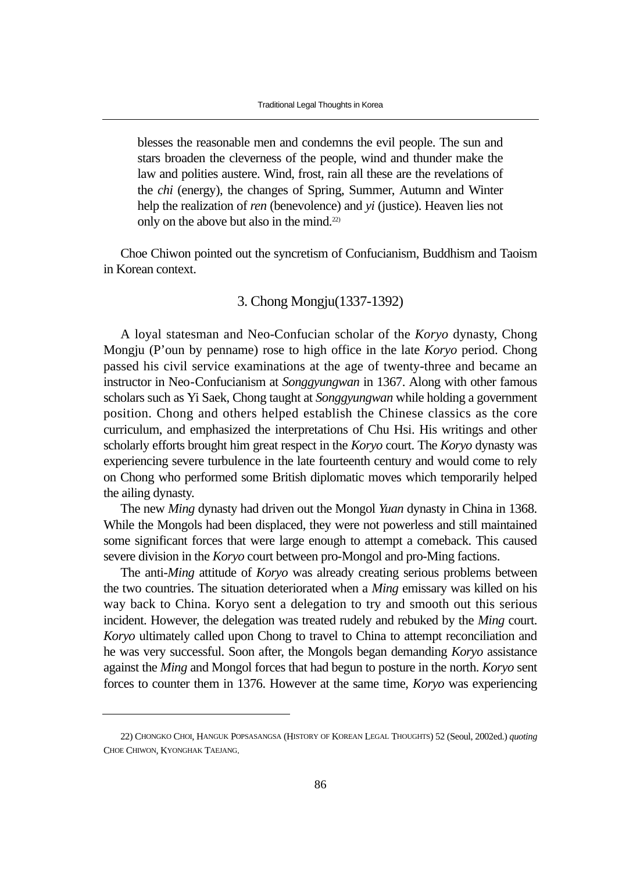blesses the reasonable men and condemns the evil people. The sun and stars broaden the cleverness of the people, wind and thunder make the law and polities austere. Wind, frost, rain all these are the revelations of the *chi* (energy), the changes of Spring, Summer, Autumn and Winter help the realization of *ren* (benevolence) and *yi* (justice). Heaven lies not only on the above but also in the mind.22)

Choe Chiwon pointed out the syncretism of Confucianism, Buddhism and Taoism in Korean context.

# 3. Chong Mongju(1337-1392)

A loyal statesman and Neo-Confucian scholar of the *Koryo* dynasty, Chong Mongju (P'oun by penname) rose to high office in the late *Koryo* period. Chong passed his civil service examinations at the age of twenty-three and became an instructor in Neo-Confucianism at *Songgyungwan* in 1367. Along with other famous scholars such as Yi Saek, Chong taught at *Songgyungwan* while holding a government position. Chong and others helped establish the Chinese classics as the core curriculum, and emphasized the interpretations of Chu Hsi. His writings and other scholarly efforts brought him great respect in the *Koryo* court. The *Koryo* dynasty was experiencing severe turbulence in the late fourteenth century and would come to rely on Chong who performed some British diplomatic moves which temporarily helped the ailing dynasty.

The new *Ming* dynasty had driven out the Mongol *Yuan* dynasty in China in 1368. While the Mongols had been displaced, they were not powerless and still maintained some significant forces that were large enough to attempt a comeback. This caused severe division in the *Koryo* court between pro-Mongol and pro-Ming factions.

The anti-*Ming* attitude of *Koryo* was already creating serious problems between the two countries. The situation deteriorated when a *Ming* emissary was killed on his way back to China. Koryo sent a delegation to try and smooth out this serious incident. However, the delegation was treated rudely and rebuked by the *Ming* court. *Koryo* ultimately called upon Chong to travel to China to attempt reconciliation and he was very successful. Soon after, the Mongols began demanding *Koryo* assistance against the *Ming* and Mongol forces that had begun to posture in the north. *Koryo* sent forces to counter them in 1376. However at the same time, *Koryo* was experiencing

<sup>22)</sup> CHONGKO CHOI, HANGUK POPSASANGSA (HISTORY OF KOREAN LEGAL THOUGHTS) 52 (Seoul, 2002ed.) *quoting* CHOE CHIWON, KYONGHAK TAEJANG.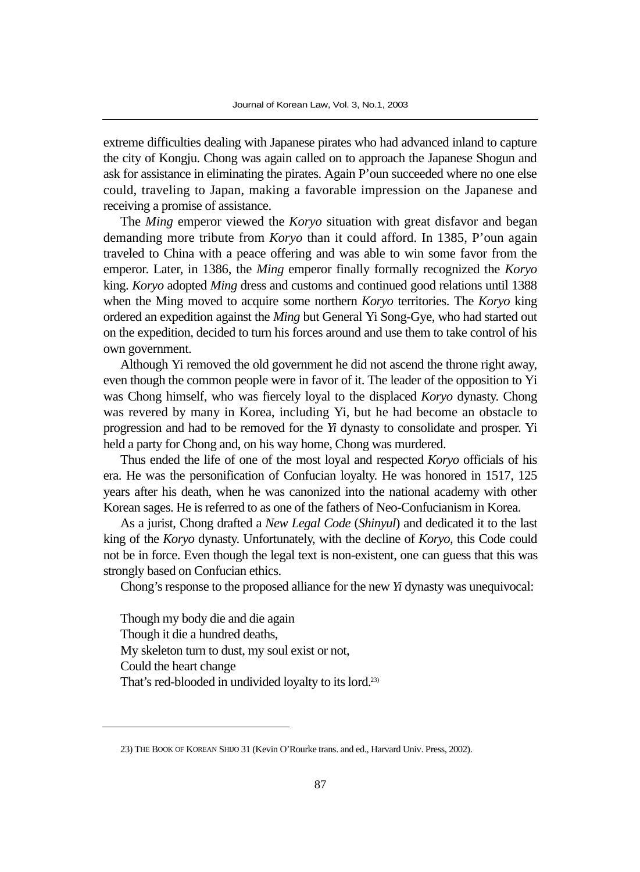extreme difficulties dealing with Japanese pirates who had advanced inland to capture the city of Kongju. Chong was again called on to approach the Japanese Shogun and ask for assistance in eliminating the pirates. Again P'oun succeeded where no one else could, traveling to Japan, making a favorable impression on the Japanese and receiving a promise of assistance.

The *Ming* emperor viewed the *Koryo* situation with great disfavor and began demanding more tribute from *Koryo* than it could afford. In 1385, P'oun again traveled to China with a peace offering and was able to win some favor from the emperor. Later, in 1386, the *Ming* emperor finally formally recognized the *Koryo* king. *Koryo* adopted *Ming* dress and customs and continued good relations until 1388 when the Ming moved to acquire some northern *Koryo* territories. The *Koryo* king ordered an expedition against the *Ming* but General Yi Song-Gye, who had started out on the expedition, decided to turn his forces around and use them to take control of his own government.

Although Yi removed the old government he did not ascend the throne right away, even though the common people were in favor of it. The leader of the opposition to Yi was Chong himself, who was fiercely loyal to the displaced *Koryo* dynasty. Chong was revered by many in Korea, including Yi, but he had become an obstacle to progression and had to be removed for the *Yi* dynasty to consolidate and prosper. Yi held a party for Chong and, on his way home, Chong was murdered.

Thus ended the life of one of the most loyal and respected *Koryo* officials of his era. He was the personification of Confucian loyalty. He was honored in 1517, 125 years after his death, when he was canonized into the national academy with other Korean sages. He is referred to as one of the fathers of Neo-Confucianism in Korea.

As a jurist, Chong drafted a *New Legal Code* (*Shinyul*) and dedicated it to the last king of the *Koryo* dynasty. Unfortunately, with the decline of *Koryo*, this Code could not be in force. Even though the legal text is non-existent, one can guess that this was strongly based on Confucian ethics.

Chong's response to the proposed alliance for the new *Yi* dynasty was unequivocal:

Though my body die and die again Though it die a hundred deaths, My skeleton turn to dust, my soul exist or not, Could the heart change That's red-blooded in undivided loyalty to its lord.23)

<sup>23)</sup> THE BOOK OF KOREAN SHIJO 31 (Kevin O'Rourke trans. and ed., Harvard Univ. Press, 2002).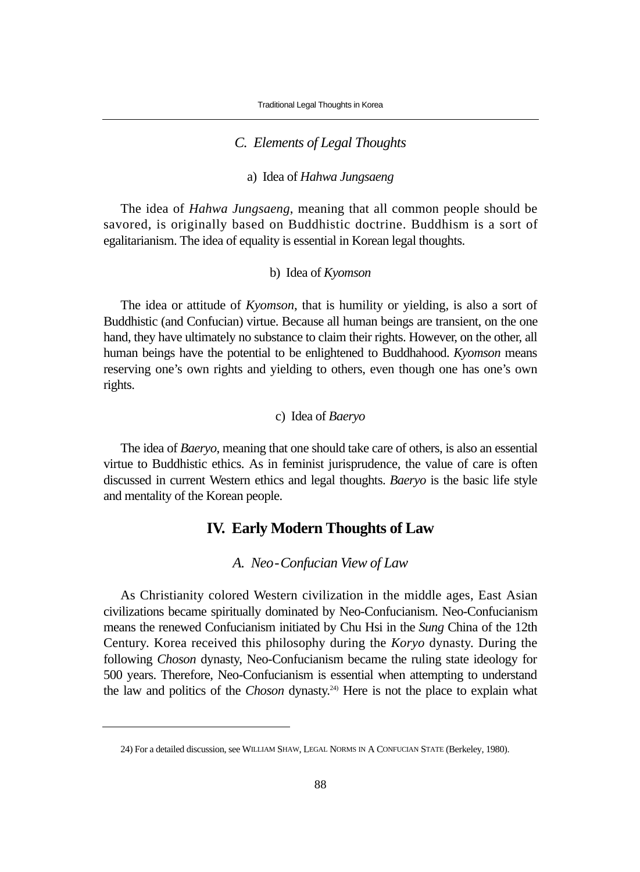## *C. Elements of Legal Thoughts*

#### a) Idea of *Hahwa Jungsaeng*

The idea of *Hahwa Jungsaeng*, meaning that all common people should be savored, is originally based on Buddhistic doctrine. Buddhism is a sort of egalitarianism. The idea of equality is essential in Korean legal thoughts.

#### b) Idea of *Kyomson*

The idea or attitude of *Kyomson*, that is humility or yielding, is also a sort of Buddhistic (and Confucian) virtue. Because all human beings are transient, on the one hand, they have ultimately no substance to claim their rights. However, on the other, all human beings have the potential to be enlightened to Buddhahood. *Kyomson* means reserving one's own rights and yielding to others, even though one has one's own rights.

## c) Idea of *Baeryo*

The idea of *Baeryo*, meaning that one should take care of others, is also an essential virtue to Buddhistic ethics. As in feminist jurisprudence, the value of care is often discussed in current Western ethics and legal thoughts. *Baeryo* is the basic life style and mentality of the Korean people.

# **IV. Early Modern Thoughts of Law**

*A. Neo-Confucian View of Law*

As Christianity colored Western civilization in the middle ages, East Asian civilizations became spiritually dominated by Neo-Confucianism. Neo-Confucianism means the renewed Confucianism initiated by Chu Hsi in the *Sung* China of the 12th Century. Korea received this philosophy during the *Koryo* dynasty. During the following *Choson* dynasty, Neo-Confucianism became the ruling state ideology for 500 years. Therefore, Neo-Confucianism is essential when attempting to understand the law and politics of the *Choson* dynasty.24) Here is not the place to explain what

<sup>24)</sup> For a detailed discussion, see WILLIAM SHAW, LEGAL NORMS IN A CONFUCIAN STATE (Berkeley, 1980).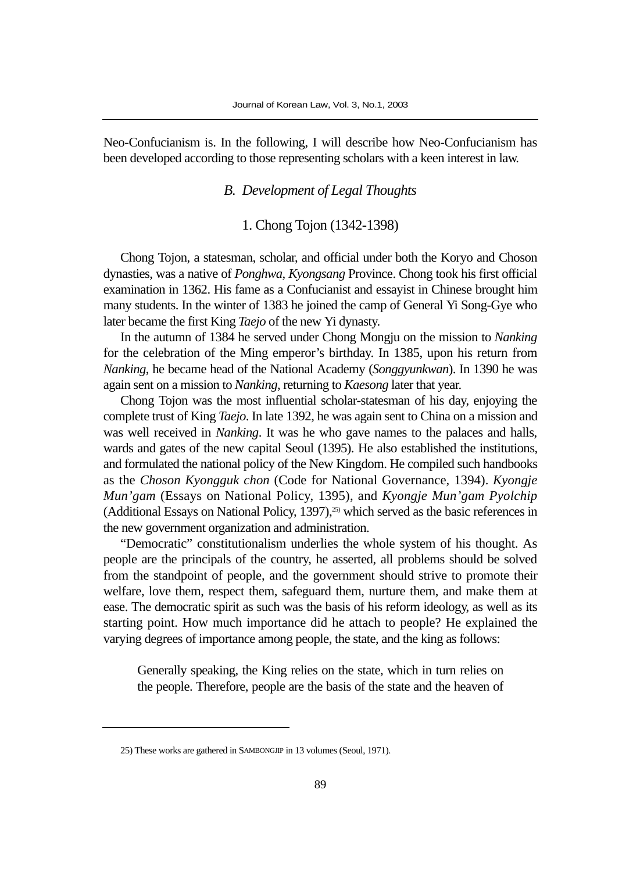Neo-Confucianism is. In the following, I will describe how Neo-Confucianism has been developed according to those representing scholars with a keen interest in law.

# *B. Development of Legal Thoughts*

#### 1. Chong Tojon (1342-1398)

Chong Tojon, a statesman, scholar, and official under both the Koryo and Choson dynasties, was a native of *Ponghwa, Kyongsang* Province. Chong took his first official examination in 1362. His fame as a Confucianist and essayist in Chinese brought him many students. In the winter of 1383 he joined the camp of General Yi Song-Gye who later became the first King *Taejo* of the new Yi dynasty.

In the autumn of 1384 he served under Chong Mongju on the mission to *Nanking* for the celebration of the Ming emperor's birthday. In 1385, upon his return from *Nanking*, he became head of the National Academy (*Songgyunkwan*). In 1390 he was again sent on a mission to *Nanking*, returning to *Kaesong* later that year.

Chong Tojon was the most influential scholar-statesman of his day, enjoying the complete trust of King *Taejo*. In late 1392, he was again sent to China on a mission and was well received in *Nanking*. It was he who gave names to the palaces and halls, wards and gates of the new capital Seoul (1395). He also established the institutions, and formulated the national policy of the New Kingdom. He compiled such handbooks as the *Choson Kyongguk chon* (Code for National Governance, 1394). *Kyongje Mun'gam* (Essays on National Policy, 1395), and *Kyongje Mun'gam Pyolchip* (Additional Essays on National Policy, 1397),<sup>25</sup> which served as the basic references in the new government organization and administration.

"Democratic" constitutionalism underlies the whole system of his thought. As people are the principals of the country, he asserted, all problems should be solved from the standpoint of people, and the government should strive to promote their welfare, love them, respect them, safeguard them, nurture them, and make them at ease. The democratic spirit as such was the basis of his reform ideology, as well as its starting point. How much importance did he attach to people? He explained the varying degrees of importance among people, the state, and the king as follows:

Generally speaking, the King relies on the state, which in turn relies on the people. Therefore, people are the basis of the state and the heaven of

<sup>25)</sup> These works are gathered in SAMBONGJIP in 13 volumes (Seoul, 1971).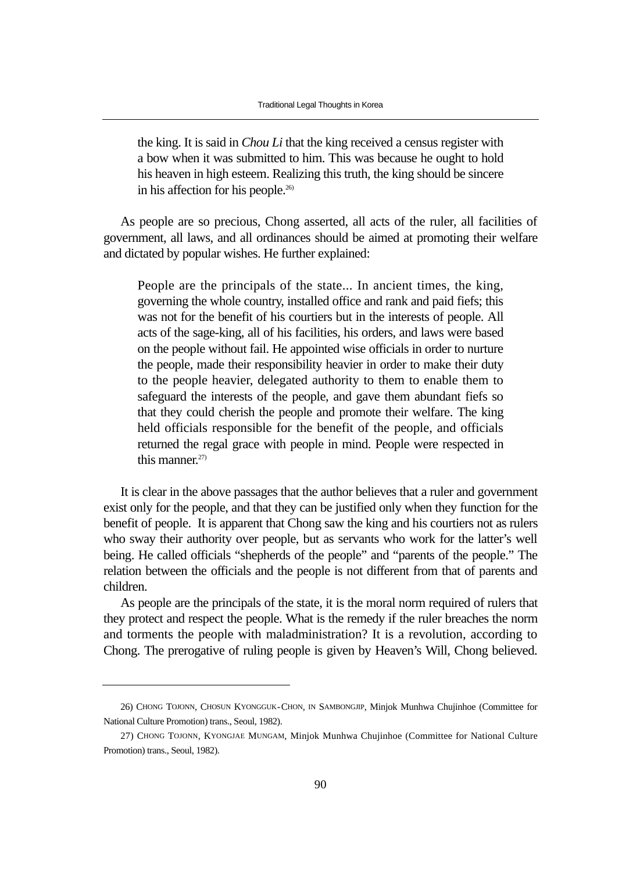the king. It is said in *Chou Li* that the king received a census register with a bow when it was submitted to him. This was because he ought to hold his heaven in high esteem. Realizing this truth, the king should be sincere in his affection for his people.26)

As people are so precious, Chong asserted, all acts of the ruler, all facilities of government, all laws, and all ordinances should be aimed at promoting their welfare and dictated by popular wishes. He further explained:

People are the principals of the state... In ancient times, the king, governing the whole country, installed office and rank and paid fiefs; this was not for the benefit of his courtiers but in the interests of people. All acts of the sage-king, all of his facilities, his orders, and laws were based on the people without fail. He appointed wise officials in order to nurture the people, made their responsibility heavier in order to make their duty to the people heavier, delegated authority to them to enable them to safeguard the interests of the people, and gave them abundant fiefs so that they could cherish the people and promote their welfare. The king held officials responsible for the benefit of the people, and officials returned the regal grace with people in mind. People were respected in this manner. $27$ 

It is clear in the above passages that the author believes that a ruler and government exist only for the people, and that they can be justified only when they function for the benefit of people. It is apparent that Chong saw the king and his courtiers not as rulers who sway their authority over people, but as servants who work for the latter's well being. He called officials "shepherds of the people" and "parents of the people." The relation between the officials and the people is not different from that of parents and children.

As people are the principals of the state, it is the moral norm required of rulers that they protect and respect the people. What is the remedy if the ruler breaches the norm and torments the people with maladministration? It is a revolution, according to Chong. The prerogative of ruling people is given by Heaven's Will, Chong believed.

<sup>26)</sup> CHONG TOJONN, CHOSUN KYONGGUK-CHON, IN SAMBONGJIP, Minjok Munhwa Chujinhoe (Committee for National Culture Promotion) trans., Seoul, 1982).

<sup>27)</sup> CHONG TOJONN, KYONGJAE MUNGAM, Minjok Munhwa Chujinhoe (Committee for National Culture Promotion) trans., Seoul, 1982).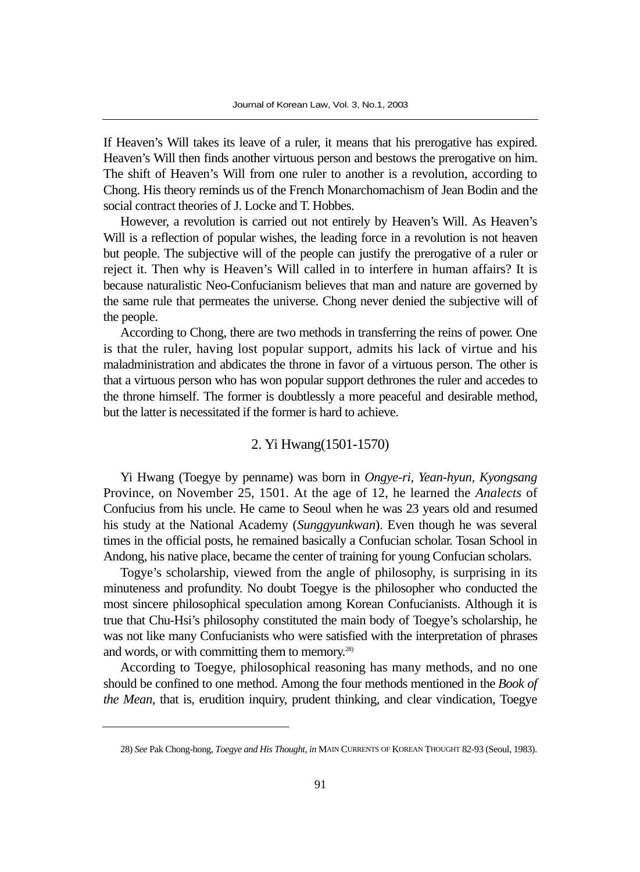If Heaven's Will takes its leave of a ruler, it means that his prerogative has expired. Heaven's Will then finds another virtuous person and bestows the prerogative on him. The shift of Heaven's Will from one ruler to another is a revolution, according to Chong. His theory reminds us of the French Monarchomachism of Jean Bodin and the social contract theories of J. Locke and T. Hobbes.

However, a revolution is carried out not entirely by Heaven's Will. As Heaven's Will is a reflection of popular wishes, the leading force in a revolution is not heaven but people. The subjective will of the people can justify the prerogative of a ruler or reject it. Then why is Heaven's Will called in to interfere in human affairs? It is because naturalistic Neo-Confucianism believes that man and nature are governed by the same rule that permeates the universe. Chong never denied the subjective will of the people.

According to Chong, there are two methods in transferring the reins of power. One is that the ruler, having lost popular support, admits his lack of virtue and his maladministration and abdicates the throne in favor of a virtuous person. The other is that a virtuous person who has won popular support dethrones the ruler and accedes to the throne himself. The former is doubtlessly a more peaceful and desirable method, but the latter is necessitated if the former is hard to achieve.

# 2. Yi Hwang(1501-1570)

Yi Hwang (Toegye by penname) was born in *Ongye-ri, Yean-hyun, Kyongsang* Province, on November 25, 1501. At the age of 12, he learned the *Analects* of Confucius from his uncle. He came to Seoul when he was 23 years old and resumed his study at the National Academy (*Sunggyunkwan*). Even though he was several times in the official posts, he remained basically a Confucian scholar. Tosan School in Andong, his native place, became the center of training for young Confucian scholars.

Togye's scholarship, viewed from the angle of philosophy, is surprising in its minuteness and profundity. No doubt Toegye is the philosopher who conducted the most sincere philosophical speculation among Korean Confucianists. Although it is true that Chu-Hsi's philosophy constituted the main body of Toegye's scholarship, he was not like many Confucianists who were satisfied with the interpretation of phrases and words, or with committing them to memory.28)

According to Toegye, philosophical reasoning has many methods, and no one should be confined to one method. Among the four methods mentioned in the *Book of the Mean*, that is, erudition inquiry, prudent thinking, and clear vindication, Toegye

<sup>28)</sup> *See* Pak Chong-hong, *Toegye and His Thought, in* MAIN CURRENTS OF KOREAN THOUGHT 82-93 (Seoul, 1983).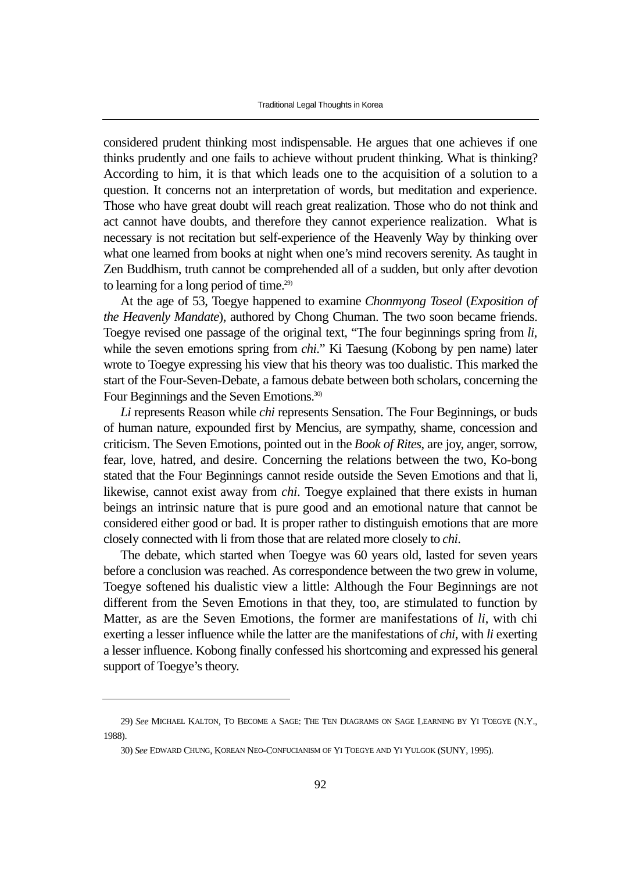considered prudent thinking most indispensable. He argues that one achieves if one thinks prudently and one fails to achieve without prudent thinking. What is thinking? According to him, it is that which leads one to the acquisition of a solution to a question. It concerns not an interpretation of words, but meditation and experience. Those who have great doubt will reach great realization. Those who do not think and act cannot have doubts, and therefore they cannot experience realization. What is necessary is not recitation but self-experience of the Heavenly Way by thinking over what one learned from books at night when one's mind recovers serenity. As taught in Zen Buddhism, truth cannot be comprehended all of a sudden, but only after devotion to learning for a long period of time.<sup>29)</sup>

At the age of 53, Toegye happened to examine *Chonmyong Toseol* (*Exposition of the Heavenly Mandate*), authored by Chong Chuman. The two soon became friends. Toegye revised one passage of the original text, "The four beginnings spring from *li*, while the seven emotions spring from *chi*." Ki Taesung (Kobong by pen name) later wrote to Toegye expressing his view that his theory was too dualistic. This marked the start of the Four-Seven-Debate, a famous debate between both scholars, concerning the Four Beginnings and the Seven Emotions.<sup>30)</sup>

*Li* represents Reason while *chi* represents Sensation. The Four Beginnings, or buds of human nature, expounded first by Mencius, are sympathy, shame, concession and criticism. The Seven Emotions, pointed out in the *Book of Rites*, are joy, anger, sorrow, fear, love, hatred, and desire. Concerning the relations between the two, Ko-bong stated that the Four Beginnings cannot reside outside the Seven Emotions and that li, likewise, cannot exist away from *chi*. Toegye explained that there exists in human beings an intrinsic nature that is pure good and an emotional nature that cannot be considered either good or bad. It is proper rather to distinguish emotions that are more closely connected with li from those that are related more closely to *chi*.

The debate, which started when Toegye was 60 years old, lasted for seven years before a conclusion was reached. As correspondence between the two grew in volume, Toegye softened his dualistic view a little: Although the Four Beginnings are not different from the Seven Emotions in that they, too, are stimulated to function by Matter, as are the Seven Emotions, the former are manifestations of *li*, with chi exerting a lesser influence while the latter are the manifestations of *chi*, with *li* exerting a lesser influence. Kobong finally confessed his shortcoming and expressed his general support of Toegye's theory.

<sup>29)</sup> *See* MICHAEL KALTON, TO BECOME A SAGE: THE TEN DIAGRAMS ON SAGE LEARNING BY YI TOEGYE (N.Y., 1988).

<sup>30)</sup> *See* EDWARD CHUNG, KOREAN NEO-CONFUCIANISM OF YI TOEGYE AND YI YULGOK (SUNY, 1995).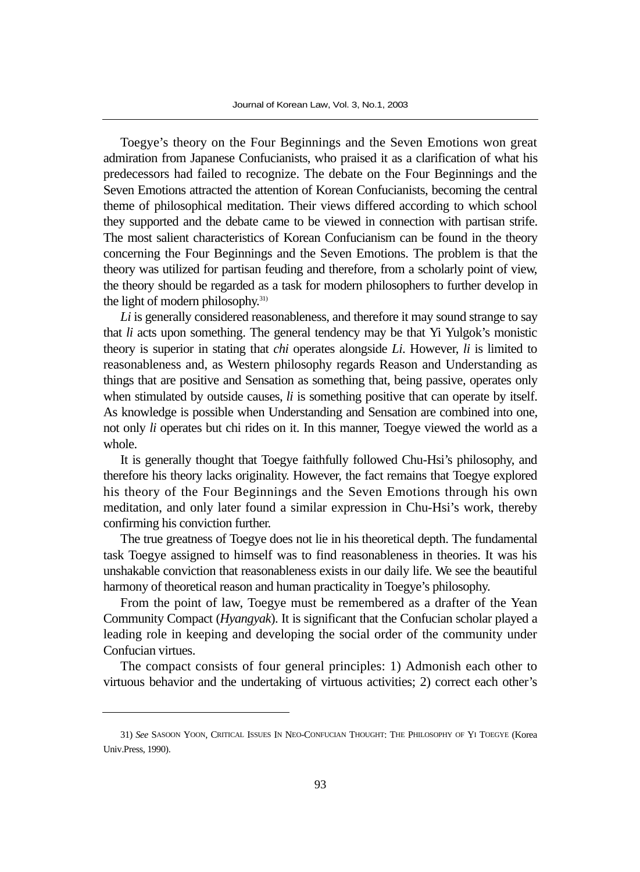Toegye's theory on the Four Beginnings and the Seven Emotions won great admiration from Japanese Confucianists, who praised it as a clarification of what his predecessors had failed to recognize. The debate on the Four Beginnings and the Seven Emotions attracted the attention of Korean Confucianists, becoming the central theme of philosophical meditation. Their views differed according to which school they supported and the debate came to be viewed in connection with partisan strife. The most salient characteristics of Korean Confucianism can be found in the theory concerning the Four Beginnings and the Seven Emotions. The problem is that the theory was utilized for partisan feuding and therefore, from a scholarly point of view, the theory should be regarded as a task for modern philosophers to further develop in the light of modern philosophy.<sup>31)</sup>

*Li* is generally considered reasonableness, and therefore it may sound strange to say that *li* acts upon something. The general tendency may be that Yi Yulgok's monistic theory is superior in stating that *chi* operates alongside *Li*. However, *li* is limited to reasonableness and, as Western philosophy regards Reason and Understanding as things that are positive and Sensation as something that, being passive, operates only when stimulated by outside causes, *li* is something positive that can operate by itself. As knowledge is possible when Understanding and Sensation are combined into one, not only *li* operates but chi rides on it. In this manner, Toegye viewed the world as a whole.

It is generally thought that Toegye faithfully followed Chu-Hsi's philosophy, and therefore his theory lacks originality. However, the fact remains that Toegye explored his theory of the Four Beginnings and the Seven Emotions through his own meditation, and only later found a similar expression in Chu-Hsi's work, thereby confirming his conviction further.

The true greatness of Toegye does not lie in his theoretical depth. The fundamental task Toegye assigned to himself was to find reasonableness in theories. It was his unshakable conviction that reasonableness exists in our daily life. We see the beautiful harmony of theoretical reason and human practicality in Toegye's philosophy.

From the point of law, Toegye must be remembered as a drafter of the Yean Community Compact (*Hyangyak*). It is significant that the Confucian scholar played a leading role in keeping and developing the social order of the community under Confucian virtues.

The compact consists of four general principles: 1) Admonish each other to virtuous behavior and the undertaking of virtuous activities; 2) correct each other's

<sup>31)</sup> *See* SASOON YOON, CRITICAL ISSUES IN NEO-CONFUCIAN THOUGHT: THE PHILOSOPHY OF YI TOEGYE (Korea Univ.Press, 1990).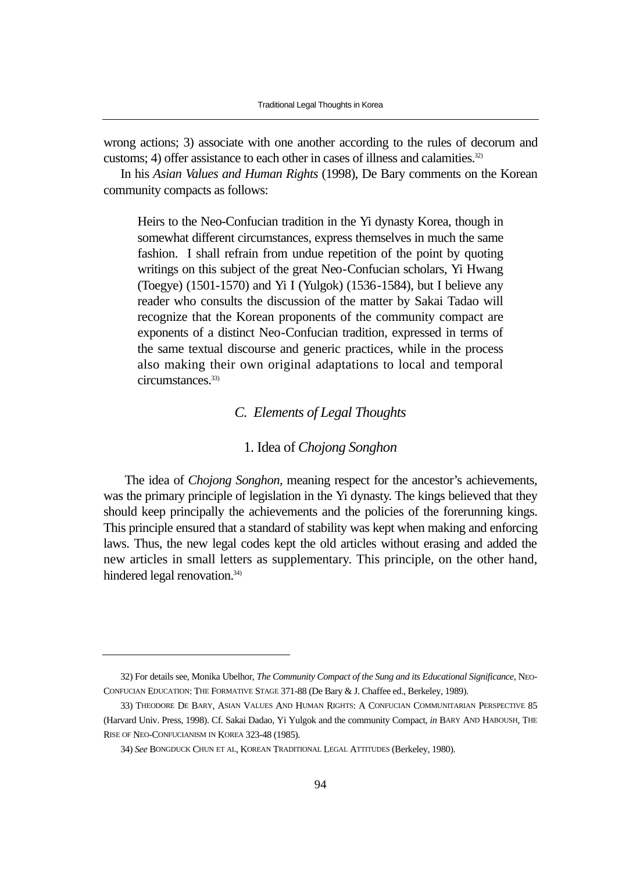wrong actions; 3) associate with one another according to the rules of decorum and customs; 4) offer assistance to each other in cases of illness and calamities.<sup>32)</sup>

In his *Asian Values and Human Rights* (1998), De Bary comments on the Korean community compacts as follows:

Heirs to the Neo-Confucian tradition in the Yi dynasty Korea, though in somewhat different circumstances, express themselves in much the same fashion. I shall refrain from undue repetition of the point by quoting writings on this subject of the great Neo-Confucian scholars, Yi Hwang (Toegye) (1501-1570) and Yi I (Yulgok) (1536-1584), but I believe any reader who consults the discussion of the matter by Sakai Tadao will recognize that the Korean proponents of the community compact are exponents of a distinct Neo-Confucian tradition, expressed in terms of the same textual discourse and generic practices, while in the process also making their own original adaptations to local and temporal circumstances.<sup>33)</sup>

## *C. Elements of Legal Thoughts*

## 1. Idea of *Chojong Songhon*

The idea of *Chojong Songhon*, meaning respect for the ancestor's achievements, was the primary principle of legislation in the Yi dynasty. The kings believed that they should keep principally the achievements and the policies of the forerunning kings. This principle ensured that a standard of stability was kept when making and enforcing laws. Thus, the new legal codes kept the old articles without erasing and added the new articles in small letters as supplementary. This principle, on the other hand, hindered legal renovation.<sup>34)</sup>

<sup>32)</sup> For details see, Monika Ubelhor, *The Community Compact of the Sung and its Educational Significance*, NEO-CONFUCIAN EDUCATION: THE FORMATIVE STAGE 371-88 (De Bary & J. Chaffee ed., Berkeley, 1989).

<sup>33)</sup> THEODORE DE BARY, ASIAN VALUES AND HUMAN RIGHTS: A CONFUCIAN COMMUNITARIAN PERSPECTIVE 85 (Harvard Univ. Press, 1998). Cf. Sakai Dadao, Yi Yulgok and the community Compact, *in* BARY AND HABOUSH, THE RISE OF NEO-CONFUCIANISM IN KOREA 323-48 (1985).

<sup>34)</sup> *See* BONGDUCK CHUN ET AL, KOREAN TRADITIONAL LEGAL ATTITUDES (Berkeley, 1980).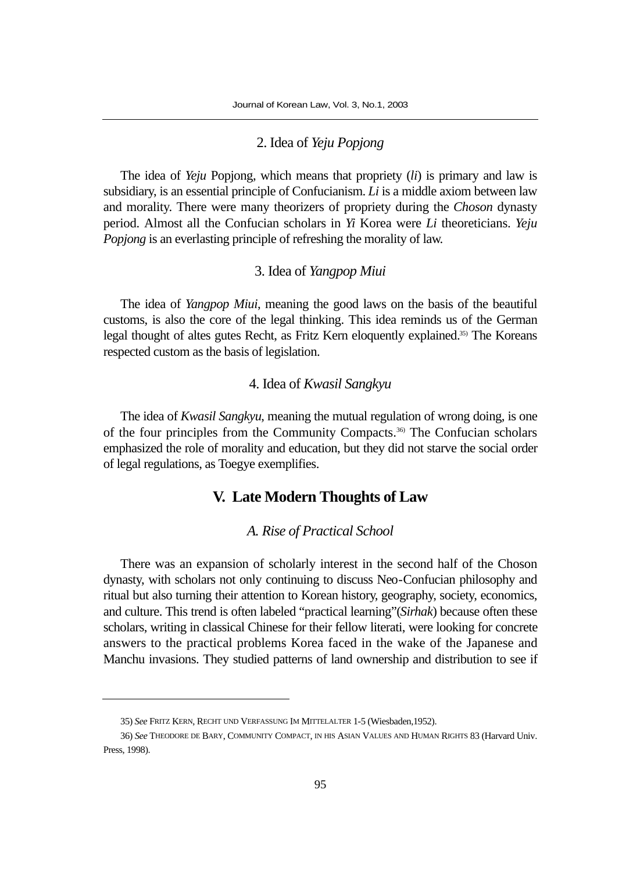## 2. Idea of *Yeju Popjong*

The idea of *Yeju* Popjong, which means that propriety (*li*) is primary and law is subsidiary, is an essential principle of Confucianism. *Li* is a middle axiom between law and morality. There were many theorizers of propriety during the *Choson* dynasty period. Almost all the Confucian scholars in *Yi* Korea were *Li* theoreticians. *Yeju Popjong* is an everlasting principle of refreshing the morality of law.

## 3. Idea of *Yangpop Miui*

The idea of *Yangpop Miui*, meaning the good laws on the basis of the beautiful customs, is also the core of the legal thinking. This idea reminds us of the German legal thought of altes gutes Recht, as Fritz Kern eloquently explained.35) The Koreans respected custom as the basis of legislation.

## 4. Idea of *Kwasil Sangkyu*

The idea of *Kwasil Sangkyu*, meaning the mutual regulation of wrong doing, is one of the four principles from the Community Compacts.36) The Confucian scholars emphasized the role of morality and education, but they did not starve the social order of legal regulations, as Toegye exemplifies.

# **V. Late Modern Thoughts of Law**

#### *A. Rise of Practical School*

There was an expansion of scholarly interest in the second half of the Choson dynasty, with scholars not only continuing to discuss Neo-Confucian philosophy and ritual but also turning their attention to Korean history, geography, society, economics, and culture. This trend is often labeled "practical learning"(*Sirhak*) because often these scholars, writing in classical Chinese for their fellow literati, were looking for concrete answers to the practical problems Korea faced in the wake of the Japanese and Manchu invasions. They studied patterns of land ownership and distribution to see if

<sup>35)</sup> *See* FRITZ KERN, RECHT UND VERFASSUNG IM MITTELALTER 1-5 (Wiesbaden,1952).

<sup>36)</sup> *See* THEODORE DE BARY, COMMUNITY COMPACT, IN HIS ASIAN VALUES AND HUMAN RIGHTS 83 (Harvard Univ. Press, 1998).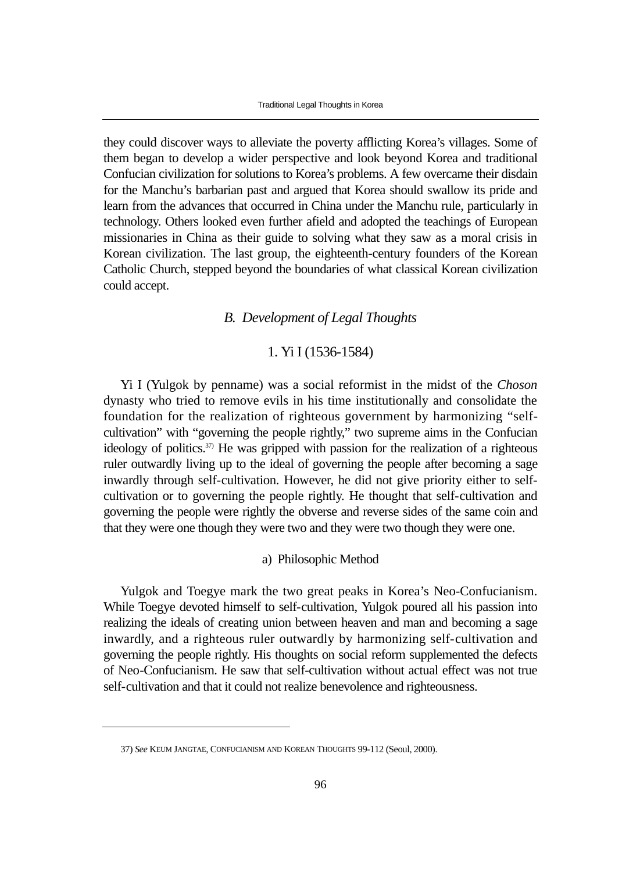they could discover ways to alleviate the poverty afflicting Korea's villages. Some of them began to develop a wider perspective and look beyond Korea and traditional Confucian civilization for solutions to Korea's problems. A few overcame their disdain for the Manchu's barbarian past and argued that Korea should swallow its pride and learn from the advances that occurred in China under the Manchu rule, particularly in technology. Others looked even further afield and adopted the teachings of European missionaries in China as their guide to solving what they saw as a moral crisis in Korean civilization. The last group, the eighteenth-century founders of the Korean Catholic Church, stepped beyond the boundaries of what classical Korean civilization could accept.

## *B. Development of Legal Thoughts*

#### 1. Yi I (1536-1584)

Yi I (Yulgok by penname) was a social reformist in the midst of the *Choson* dynasty who tried to remove evils in his time institutionally and consolidate the foundation for the realization of righteous government by harmonizing "selfcultivation" with "governing the people rightly," two supreme aims in the Confucian ideology of politics.<sup>37)</sup> He was gripped with passion for the realization of a righteous ruler outwardly living up to the ideal of governing the people after becoming a sage inwardly through self-cultivation. However, he did not give priority either to selfcultivation or to governing the people rightly. He thought that self-cultivation and governing the people were rightly the obverse and reverse sides of the same coin and that they were one though they were two and they were two though they were one.

#### a) Philosophic Method

Yulgok and Toegye mark the two great peaks in Korea's Neo-Confucianism. While Toegye devoted himself to self-cultivation, Yulgok poured all his passion into realizing the ideals of creating union between heaven and man and becoming a sage inwardly, and a righteous ruler outwardly by harmonizing self-cultivation and governing the people rightly. His thoughts on social reform supplemented the defects of Neo-Confucianism. He saw that self-cultivation without actual effect was not true self-cultivation and that it could not realize benevolence and righteousness.

<sup>37)</sup> *See* KEUM JANGTAE, CONFUCIANISM AND KOREAN THOUGHTS 99-112 (Seoul, 2000).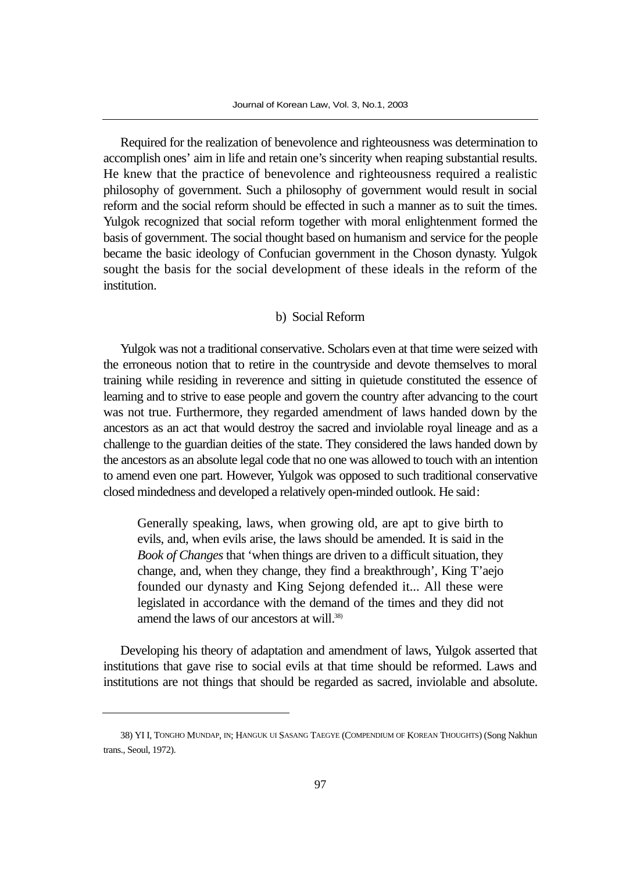Required for the realization of benevolence and righteousness was determination to accomplish ones' aim in life and retain one's sincerity when reaping substantial results. He knew that the practice of benevolence and righteousness required a realistic philosophy of government. Such a philosophy of government would result in social reform and the social reform should be effected in such a manner as to suit the times. Yulgok recognized that social reform together with moral enlightenment formed the basis of government. The social thought based on humanism and service for the people became the basic ideology of Confucian government in the Choson dynasty. Yulgok sought the basis for the social development of these ideals in the reform of the institution.

#### b) Social Reform

Yulgok was not a traditional conservative. Scholars even at that time were seized with the erroneous notion that to retire in the countryside and devote themselves to moral training while residing in reverence and sitting in quietude constituted the essence of learning and to strive to ease people and govern the country after advancing to the court was not true. Furthermore, they regarded amendment of laws handed down by the ancestors as an act that would destroy the sacred and inviolable royal lineage and as a challenge to the guardian deities of the state. They considered the laws handed down by the ancestors as an absolute legal code that no one was allowed to touch with an intention to amend even one part. However, Yulgok was opposed to such traditional conservative closed mindedness and developed a relatively open-minded outlook. He said:

Generally speaking, laws, when growing old, are apt to give birth to evils, and, when evils arise, the laws should be amended. It is said in the *Book of Changes* that 'when things are driven to a difficult situation, they change, and, when they change, they find a breakthrough', King T'aejo founded our dynasty and King Sejong defended it... All these were legislated in accordance with the demand of the times and they did not amend the laws of our ancestors at will.<sup>38)</sup>

Developing his theory of adaptation and amendment of laws, Yulgok asserted that institutions that gave rise to social evils at that time should be reformed. Laws and institutions are not things that should be regarded as sacred, inviolable and absolute.

<sup>38)</sup> YI I, TONGHO MUNDAP, IN; HANGUK UI SASANG TAEGYE (COMPENDIUM OF KOREAN THOUGHTS) (Song Nakhun trans., Seoul, 1972).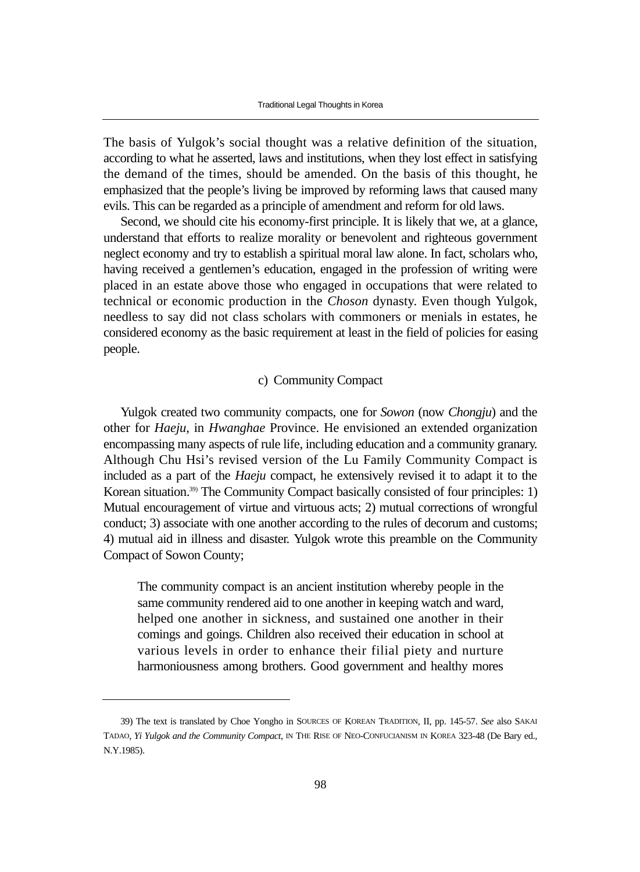The basis of Yulgok's social thought was a relative definition of the situation, according to what he asserted, laws and institutions, when they lost effect in satisfying the demand of the times, should be amended. On the basis of this thought, he emphasized that the people's living be improved by reforming laws that caused many evils. This can be regarded as a principle of amendment and reform for old laws.

Second, we should cite his economy-first principle. It is likely that we, at a glance, understand that efforts to realize morality or benevolent and righteous government neglect economy and try to establish a spiritual moral law alone. In fact, scholars who, having received a gentlemen's education, engaged in the profession of writing were placed in an estate above those who engaged in occupations that were related to technical or economic production in the *Choson* dynasty. Even though Yulgok, needless to say did not class scholars with commoners or menials in estates, he considered economy as the basic requirement at least in the field of policies for easing people.

## c) Community Compact

Yulgok created two community compacts, one for *Sowon* (now *Chongju*) and the other for *Haeju*, in *Hwanghae* Province. He envisioned an extended organization encompassing many aspects of rule life, including education and a community granary. Although Chu Hsi's revised version of the Lu Family Community Compact is included as a part of the *Haeju* compact, he extensively revised it to adapt it to the Korean situation.39) The Community Compact basically consisted of four principles: 1) Mutual encouragement of virtue and virtuous acts; 2) mutual corrections of wrongful conduct; 3) associate with one another according to the rules of decorum and customs; 4) mutual aid in illness and disaster. Yulgok wrote this preamble on the Community Compact of Sowon County;

The community compact is an ancient institution whereby people in the same community rendered aid to one another in keeping watch and ward, helped one another in sickness, and sustained one another in their comings and goings. Children also received their education in school at various levels in order to enhance their filial piety and nurture harmoniousness among brothers. Good government and healthy mores

<sup>39)</sup> The text is translated by Choe Yongho in SOURCES OF KOREAN TRADITION, II, pp. 145-57. *See* also SAKAI TADAO, *Yi Yulgok and the Community Compact*, IN THE RISE OF NEO-CONFUCIANISM IN KOREA 323-48 (De Bary ed., N.Y.1985).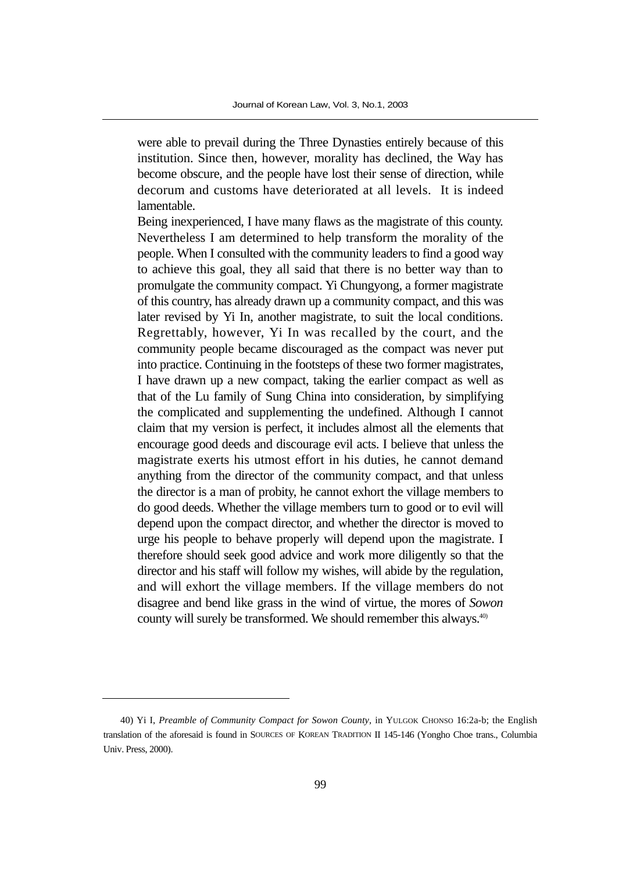were able to prevail during the Three Dynasties entirely because of this institution. Since then, however, morality has declined, the Way has become obscure, and the people have lost their sense of direction, while decorum and customs have deteriorated at all levels. It is indeed lamentable.

Being inexperienced, I have many flaws as the magistrate of this county. Nevertheless I am determined to help transform the morality of the people. When I consulted with the community leaders to find a good way to achieve this goal, they all said that there is no better way than to promulgate the community compact. Yi Chungyong, a former magistrate of this country, has already drawn up a community compact, and this was later revised by Yi In, another magistrate, to suit the local conditions. Regrettably, however, Yi In was recalled by the court, and the community people became discouraged as the compact was never put into practice. Continuing in the footsteps of these two former magistrates, I have drawn up a new compact, taking the earlier compact as well as that of the Lu family of Sung China into consideration, by simplifying the complicated and supplementing the undefined. Although I cannot claim that my version is perfect, it includes almost all the elements that encourage good deeds and discourage evil acts. I believe that unless the magistrate exerts his utmost effort in his duties, he cannot demand anything from the director of the community compact, and that unless the director is a man of probity, he cannot exhort the village members to do good deeds. Whether the village members turn to good or to evil will depend upon the compact director, and whether the director is moved to urge his people to behave properly will depend upon the magistrate. I therefore should seek good advice and work more diligently so that the director and his staff will follow my wishes, will abide by the regulation, and will exhort the village members. If the village members do not disagree and bend like grass in the wind of virtue, the mores of *Sowon* county will surely be transformed. We should remember this always.40)

<sup>40)</sup> Yi I, *Preamble of Community Compact for Sowon County,* in YULGOK CHONSO 16:2a-b; the English translation of the aforesaid is found in SOURCES OF KOREAN TRADITION II 145-146 (Yongho Choe trans., Columbia Univ. Press, 2000).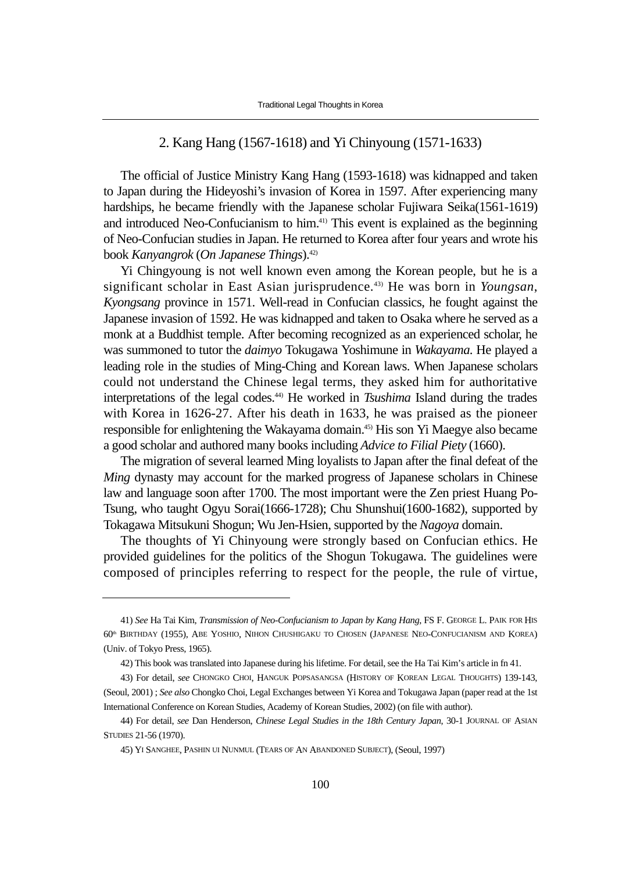#### 2. Kang Hang (1567-1618) and Yi Chinyoung (1571-1633)

The official of Justice Ministry Kang Hang (1593-1618) was kidnapped and taken to Japan during the Hideyoshi's invasion of Korea in 1597. After experiencing many hardships, he became friendly with the Japanese scholar Fujiwara Seika(1561-1619) and introduced Neo-Confucianism to him.41) This event is explained as the beginning of Neo-Confucian studies in Japan. He returned to Korea after four years and wrote his book *Kanyangrok* (*On Japanese Things*).42)

Yi Chingyoung is not well known even among the Korean people, but he is a significant scholar in East Asian jurisprudence.43) He was born in *Youngsan*, *Kyongsang* province in 1571. Well-read in Confucian classics, he fought against the Japanese invasion of 1592. He was kidnapped and taken to Osaka where he served as a monk at a Buddhist temple. After becoming recognized as an experienced scholar, he was summoned to tutor the *daimyo* Tokugawa Yoshimune in *Wakayama*. He played a leading role in the studies of Ming-Ching and Korean laws. When Japanese scholars could not understand the Chinese legal terms, they asked him for authoritative interpretations of the legal codes.44) He worked in *Tsushima* Island during the trades with Korea in 1626-27. After his death in 1633, he was praised as the pioneer responsible for enlightening the Wakayama domain.45) His son Yi Maegye also became a good scholar and authored many books including *Advice to Filial Piety* (1660).

The migration of several learned Ming loyalists to Japan after the final defeat of the *Ming* dynasty may account for the marked progress of Japanese scholars in Chinese law and language soon after 1700. The most important were the Zen priest Huang Po-Tsung, who taught Ogyu Sorai(1666-1728); Chu Shunshui(1600-1682), supported by Tokagawa Mitsukuni Shogun; Wu Jen-Hsien, supported by the *Nagoya* domain.

The thoughts of Yi Chinyoung were strongly based on Confucian ethics. He provided guidelines for the politics of the Shogun Tokugawa. The guidelines were composed of principles referring to respect for the people, the rule of virtue,

<sup>41)</sup> *See* Ha Tai Kim, *Transmission of Neo-Confucianism to Japan by Kang Hang*, FS F. GEORGE L. PAIK FOR HIS 60th BIRTHDAY (1955), ABE YOSHIO, NIHON CHUSHIGAKU TO CHOSEN (JAPANESE NEO-CONFUCIANISM AND KOREA) (Univ. of Tokyo Press, 1965).

<sup>42)</sup> This book was translated into Japanese during his lifetime. For detail, see the Ha Tai Kim's article in fn 41.

<sup>43)</sup> For detail, *see* CHONGKO CHOI, HANGUK POPSASANGSA (HISTORY OF KOREAN LEGAL THOUGHTS) 139-143, (Seoul, 2001) ; *See also* Chongko Choi, Legal Exchanges between Yi Korea and Tokugawa Japan (paper read at the 1st International Conference on Korean Studies, Academy of Korean Studies, 2002) (on file with author).

<sup>44)</sup> For detail, *see* Dan Henderson, *Chinese Legal Studies in the 18th Century Japan*, 30-1 JOURNAL OF ASIAN STUDIES 21-56 (1970).

<sup>45)</sup> YI SANGHEE, PASHIN UI NUNMUL (TEARS OF AN ABANDONED SUBJECT), (Seoul, 1997)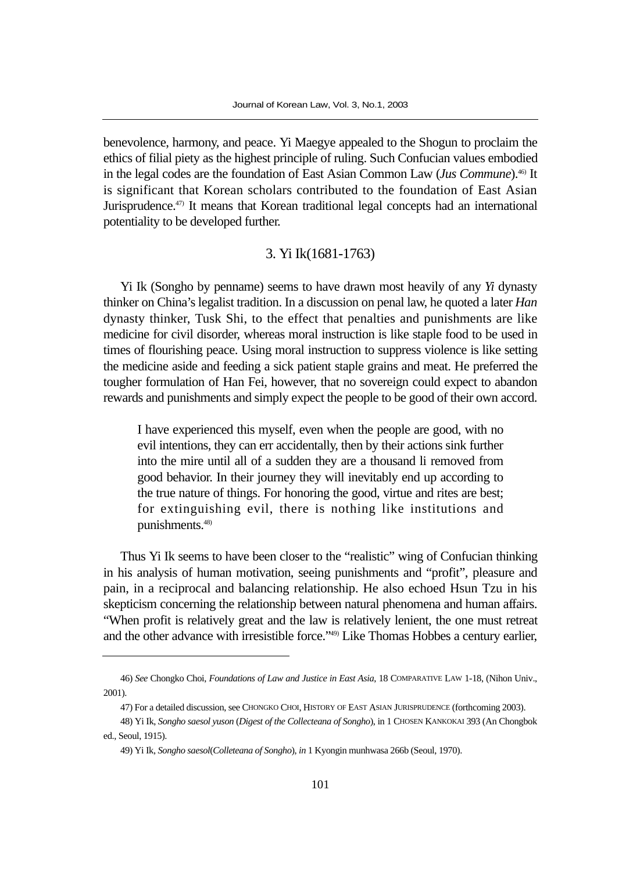benevolence, harmony, and peace. Yi Maegye appealed to the Shogun to proclaim the ethics of filial piety as the highest principle of ruling. Such Confucian values embodied in the legal codes are the foundation of East Asian Common Law (*Jus Commune*).46) It is significant that Korean scholars contributed to the foundation of East Asian Jurisprudence.<sup>47)</sup> It means that Korean traditional legal concepts had an international potentiality to be developed further.

#### 3. Yi Ik(1681-1763)

Yi Ik (Songho by penname) seems to have drawn most heavily of any *Yi* dynasty thinker on China's legalist tradition. In a discussion on penal law, he quoted a later *Han* dynasty thinker, Tusk Shi, to the effect that penalties and punishments are like medicine for civil disorder, whereas moral instruction is like staple food to be used in times of flourishing peace. Using moral instruction to suppress violence is like setting the medicine aside and feeding a sick patient staple grains and meat. He preferred the tougher formulation of Han Fei, however, that no sovereign could expect to abandon rewards and punishments and simply expect the people to be good of their own accord.

I have experienced this myself, even when the people are good, with no evil intentions, they can err accidentally, then by their actions sink further into the mire until all of a sudden they are a thousand li removed from good behavior. In their journey they will inevitably end up according to the true nature of things. For honoring the good, virtue and rites are best; for extinguishing evil, there is nothing like institutions and punishments.48)

Thus Yi Ik seems to have been closer to the "realistic" wing of Confucian thinking in his analysis of human motivation, seeing punishments and "profit", pleasure and pain, in a reciprocal and balancing relationship. He also echoed Hsun Tzu in his skepticism concerning the relationship between natural phenomena and human affairs. "When profit is relatively great and the law is relatively lenient, the one must retreat and the other advance with irresistible force."49) Like Thomas Hobbes a century earlier,

<sup>46)</sup> *See* Chongko Choi, *Foundations of Law and Justice in East Asia*, 18 COMPARATIVE LAW 1-18, (Nihon Univ., 2001).

<sup>47)</sup> For a detailed discussion, see CHONGKO CHOI, HISTORY OF EAST ASIAN JURISPRUDENCE (forthcoming 2003).

<sup>48)</sup> Yi Ik, *Songho saesol yuson* (*Digest of the Collecteana of Songho*), in 1 CHOSEN KANKOKAI 393 (An Chongbok ed., Seoul, 1915).

<sup>49)</sup> Yi Ik, *Songho saesol*(*Colleteana of Songho*), *in* 1 Kyongin munhwasa 266b (Seoul, 1970).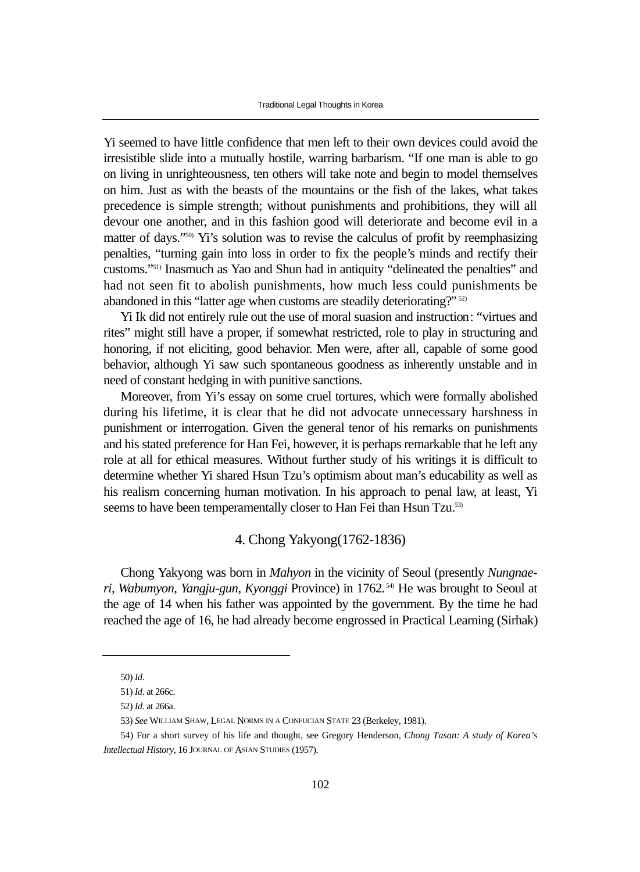Yi seemed to have little confidence that men left to their own devices could avoid the irresistible slide into a mutually hostile, warring barbarism. "If one man is able to go on living in unrighteousness, ten others will take note and begin to model themselves on him. Just as with the beasts of the mountains or the fish of the lakes, what takes precedence is simple strength; without punishments and prohibitions, they will all devour one another, and in this fashion good will deteriorate and become evil in a matter of days."50) Yi's solution was to revise the calculus of profit by reemphasizing penalties, "turning gain into loss in order to fix the people's minds and rectify their customs."51) Inasmuch as Yao and Shun had in antiquity "delineated the penalties" and had not seen fit to abolish punishments, how much less could punishments be abandoned in this "latter age when customs are steadily deteriorating?" 52)

Yi Ik did not entirely rule out the use of moral suasion and instruction: "virtues and rites" might still have a proper, if somewhat restricted, role to play in structuring and honoring, if not eliciting, good behavior. Men were, after all, capable of some good behavior, although Yi saw such spontaneous goodness as inherently unstable and in need of constant hedging in with punitive sanctions.

Moreover, from Yi's essay on some cruel tortures, which were formally abolished during his lifetime, it is clear that he did not advocate unnecessary harshness in punishment or interrogation. Given the general tenor of his remarks on punishments and his stated preference for Han Fei, however, it is perhaps remarkable that he left any role at all for ethical measures. Without further study of his writings it is difficult to determine whether Yi shared Hsun Tzu's optimism about man's educability as well as his realism concerning human motivation. In his approach to penal law, at least, Yi seems to have been temperamentally closer to Han Fei than Hsun Tzu.<sup>53)</sup>

## 4. Chong Yakyong(1762-1836)

Chong Yakyong was born in *Mahyon* in the vicinity of Seoul (presently *Nungnaeri, Wabumyon, Yangju-gun, Kyonggi* Province) in 1762. 54) He was brought to Seoul at the age of 14 when his father was appointed by the government. By the time he had reached the age of 16, he had already become engrossed in Practical Learning (Sirhak)

<sup>50)</sup> *Id*.

<sup>51)</sup> *Id*. at 266c.

<sup>52)</sup> *Id*. at 266a.

<sup>53)</sup> *See* WILLIAM SHAW, LEGAL NORMS IN A CONFUCIAN STATE 23 (Berkeley, 1981).

<sup>54)</sup> For a short survey of his life and thought, see Gregory Henderson, *Chong Tasan: A study of Korea's Intellectual History*, 16 JOURNAL OF ASIAN STUDIES (1957).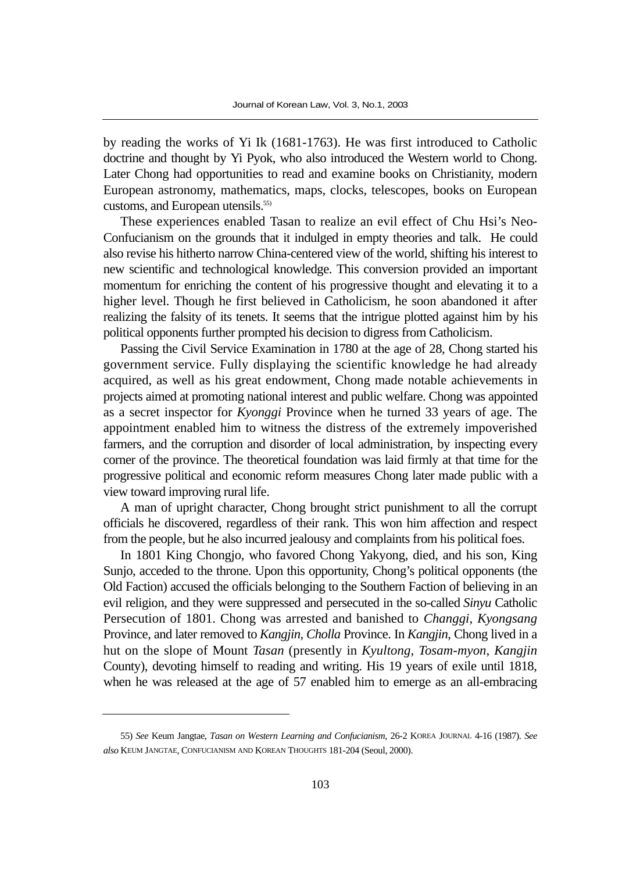by reading the works of Yi Ik (1681-1763). He was first introduced to Catholic doctrine and thought by Yi Pyok, who also introduced the Western world to Chong. Later Chong had opportunities to read and examine books on Christianity, modern European astronomy, mathematics, maps, clocks, telescopes, books on European customs, and European utensils.<sup>55)</sup>

These experiences enabled Tasan to realize an evil effect of Chu Hsi's Neo-Confucianism on the grounds that it indulged in empty theories and talk. He could also revise his hitherto narrow China-centered view of the world, shifting his interest to new scientific and technological knowledge. This conversion provided an important momentum for enriching the content of his progressive thought and elevating it to a higher level. Though he first believed in Catholicism, he soon abandoned it after realizing the falsity of its tenets. It seems that the intrigue plotted against him by his political opponents further prompted his decision to digress from Catholicism.

Passing the Civil Service Examination in 1780 at the age of 28, Chong started his government service. Fully displaying the scientific knowledge he had already acquired, as well as his great endowment, Chong made notable achievements in projects aimed at promoting national interest and public welfare. Chong was appointed as a secret inspector for *Kyonggi* Province when he turned 33 years of age. The appointment enabled him to witness the distress of the extremely impoverished farmers, and the corruption and disorder of local administration, by inspecting every corner of the province. The theoretical foundation was laid firmly at that time for the progressive political and economic reform measures Chong later made public with a view toward improving rural life.

A man of upright character, Chong brought strict punishment to all the corrupt officials he discovered, regardless of their rank. This won him affection and respect from the people, but he also incurred jealousy and complaints from his political foes.

In 1801 King Chongjo, who favored Chong Yakyong, died, and his son, King Sunjo, acceded to the throne. Upon this opportunity, Chong's political opponents (the Old Faction) accused the officials belonging to the Southern Faction of believing in an evil religion, and they were suppressed and persecuted in the so-called *Sinyu* Catholic Persecution of 1801. Chong was arrested and banished to *Changgi, Kyongsang* Province, and later removed to *Kangjin, Cholla* Province. In *Kangjin*, Chong lived in a hut on the slope of Mount *Tasan* (presently in *Kyultong, Tosam-myon, Kangjin* County), devoting himself to reading and writing. His 19 years of exile until 1818, when he was released at the age of 57 enabled him to emerge as an all-embracing

<sup>55)</sup> *See* Keum Jangtae, *Tasan on Western Learning and Confucianism*, 26-2 KOREA JOURNAL 4-16 (1987). *See also* KEUM JANGTAE, CONFUCIANISM AND KOREAN THOUGHTS 181-204 (Seoul, 2000).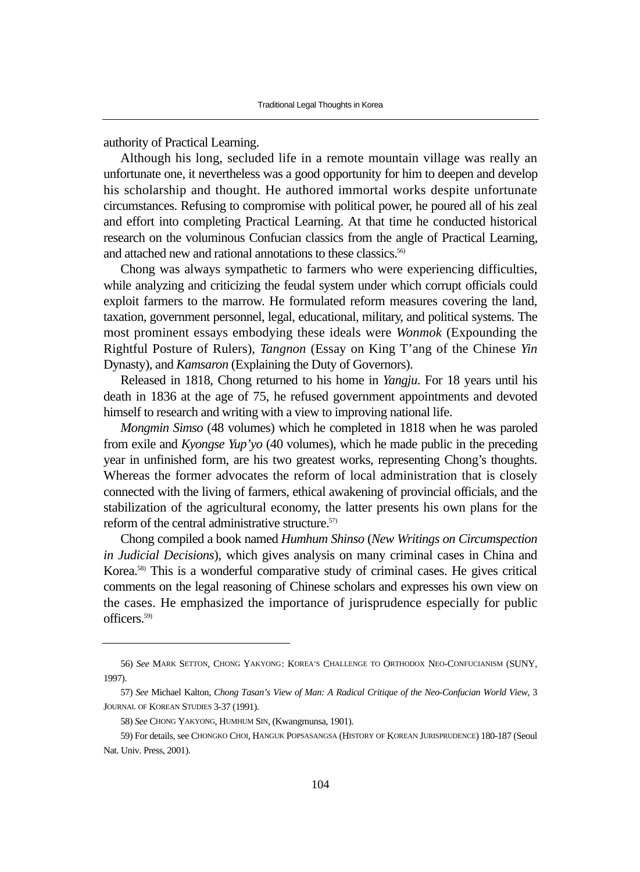authority of Practical Learning.

Although his long, secluded life in a remote mountain village was really an unfortunate one, it nevertheless was a good opportunity for him to deepen and develop his scholarship and thought. He authored immortal works despite unfortunate circumstances. Refusing to compromise with political power, he poured all of his zeal and effort into completing Practical Learning. At that time he conducted historical research on the voluminous Confucian classics from the angle of Practical Learning, and attached new and rational annotations to these classics.<sup>56)</sup>

Chong was always sympathetic to farmers who were experiencing difficulties, while analyzing and criticizing the feudal system under which corrupt officials could exploit farmers to the marrow. He formulated reform measures covering the land, taxation, government personnel, legal, educational, military, and political systems. The most prominent essays embodying these ideals were *Wonmok* (Expounding the Rightful Posture of Rulers), *Tangnon* (Essay on King T'ang of the Chinese *Yin* Dynasty), and *Kamsaron* (Explaining the Duty of Governors).

Released in 1818, Chong returned to his home in *Yangju*. For 18 years until his death in 1836 at the age of 75, he refused government appointments and devoted himself to research and writing with a view to improving national life.

*Mongmin Simso* (48 volumes) which he completed in 1818 when he was paroled from exile and *Kyongse Yup'yo* (40 volumes), which he made public in the preceding year in unfinished form, are his two greatest works, representing Chong's thoughts. Whereas the former advocates the reform of local administration that is closely connected with the living of farmers, ethical awakening of provincial officials, and the stabilization of the agricultural economy, the latter presents his own plans for the reform of the central administrative structure.<sup>57)</sup>

Chong compiled a book named *Humhum Shinso* (*New Writings on Circumspection in Judicial Decisions*), which gives analysis on many criminal cases in China and Korea.58) This is a wonderful comparative study of criminal cases. He gives critical comments on the legal reasoning of Chinese scholars and expresses his own view on the cases. He emphasized the importance of jurisprudence especially for public officers.59)

<sup>56)</sup> *See* MARK SETTON, CHONG YAKYONG: KOREA'S CHALLENGE TO ORTHODOX NEO-CONFUCIANISM (SUNY, 1997).

<sup>57)</sup> *See* Michael Kalton, *Chong Tasan's View of Man: A Radical Critique of the Neo-Confucian World View*, 3 JOURNAL OF KOREAN STUDIES 3-37 (1991).

<sup>58)</sup> *See* CHONG YAKYONG, HUMHUM SIN, (Kwangmunsa, 1901).

<sup>59)</sup> For details, see CHONGKO CHOI, HANGUK POPSASANGSA (HISTORY OF KOREAN JURISPRUDENCE) 180-187 (Seoul Nat. Univ. Press, 2001).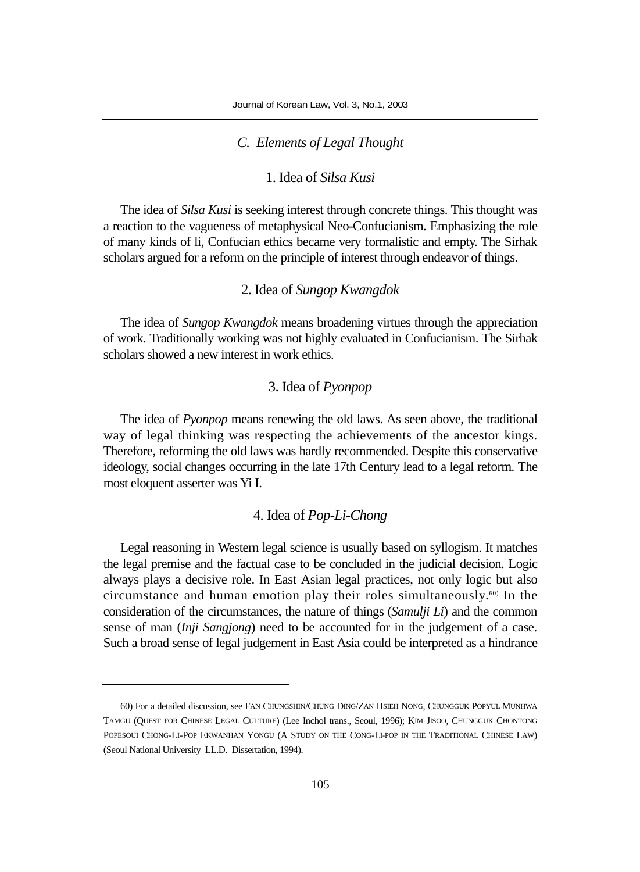## *C. Elements of Legal Thought*

# 1. Idea of *Silsa Kusi*

The idea of *Silsa Kusi* is seeking interest through concrete things. This thought was a reaction to the vagueness of metaphysical Neo-Confucianism. Emphasizing the role of many kinds of li, Confucian ethics became very formalistic and empty. The Sirhak scholars argued for a reform on the principle of interest through endeavor of things.

# 2. Idea of *Sungop Kwangdok*

The idea of *Sungop Kwangdok* means broadening virtues through the appreciation of work. Traditionally working was not highly evaluated in Confucianism. The Sirhak scholars showed a new interest in work ethics.

## 3. Idea of *Pyonpop*

The idea of *Pyonpop* means renewing the old laws. As seen above, the traditional way of legal thinking was respecting the achievements of the ancestor kings. Therefore, reforming the old laws was hardly recommended. Despite this conservative ideology, social changes occurring in the late 17th Century lead to a legal reform. The most eloquent asserter was Yi I.

# 4. Idea of *Pop-Li-Chong*

Legal reasoning in Western legal science is usually based on syllogism. It matches the legal premise and the factual case to be concluded in the judicial decision. Logic always plays a decisive role. In East Asian legal practices, not only logic but also circumstance and human emotion play their roles simultaneously.60) In the consideration of the circumstances, the nature of things (*Samulji Li*) and the common sense of man (*Inji Sangjong*) need to be accounted for in the judgement of a case. Such a broad sense of legal judgement in East Asia could be interpreted as a hindrance

<sup>60)</sup> For a detailed discussion, see FAN CHUNGSHIN/CHUNG DING/ZAN HSIEH NONG, CHUNGGUK POPYUL MUNHWA TAMGU (QUEST FOR CHINESE LEGAL CULTURE) (Lee Inchol trans., Seoul, 1996); KIM JISOO, CHUNGGUK CHONTONG POPESOUI CHONG-LI-POP EKWANHAN YONGU (A STUDY ON THE CONG-LI-POP IN THE TRADITIONAL CHINESE LAW) (Seoul National University LL.D. Dissertation, 1994).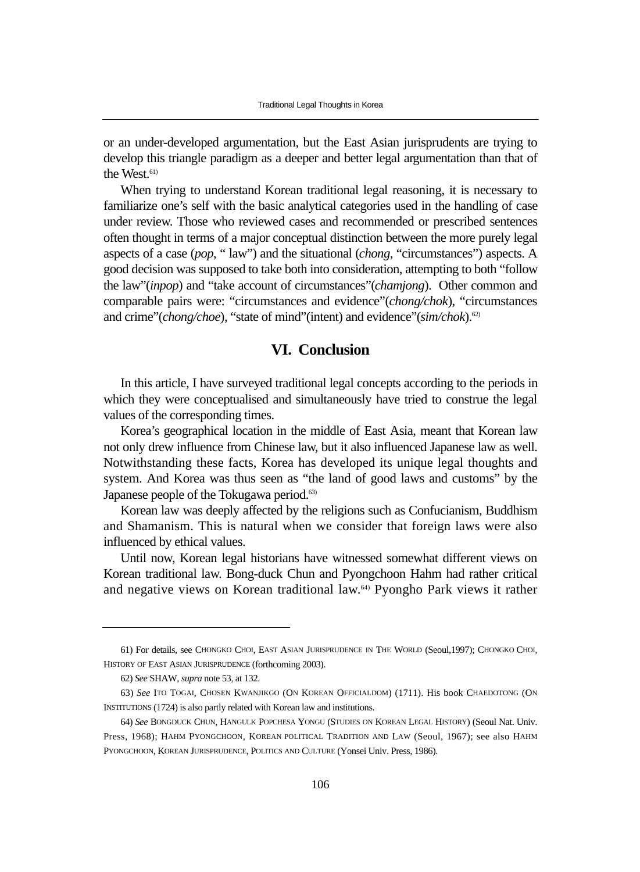or an under-developed argumentation, but the East Asian jurisprudents are trying to develop this triangle paradigm as a deeper and better legal argumentation than that of the West.<sup>61)</sup>

When trying to understand Korean traditional legal reasoning, it is necessary to familiarize one's self with the basic analytical categories used in the handling of case under review. Those who reviewed cases and recommended or prescribed sentences often thought in terms of a major conceptual distinction between the more purely legal aspects of a case (*pop*, " law") and the situational (*chong*, "circumstances") aspects. A good decision was supposed to take both into consideration, attempting to both "follow the law"(*inpop*) and "take account of circumstances"(*chamjong*). Other common and comparable pairs were: "circumstances and evidence"(*chong/chok*), "circumstances and crime"(*chong/choe*), "state of mind"(intent) and evidence"(*sim/chok*).<sup>62)</sup>

# **VI. Conclusion**

In this article, I have surveyed traditional legal concepts according to the periods in which they were conceptualised and simultaneously have tried to construe the legal values of the corresponding times.

Korea's geographical location in the middle of East Asia, meant that Korean law not only drew influence from Chinese law, but it also influenced Japanese law as well. Notwithstanding these facts, Korea has developed its unique legal thoughts and system. And Korea was thus seen as "the land of good laws and customs" by the Japanese people of the Tokugawa period.<sup>63)</sup>

Korean law was deeply affected by the religions such as Confucianism, Buddhism and Shamanism. This is natural when we consider that foreign laws were also influenced by ethical values.

Until now, Korean legal historians have witnessed somewhat different views on Korean traditional law. Bong-duck Chun and Pyongchoon Hahm had rather critical and negative views on Korean traditional law.64) Pyongho Park views it rather

<sup>61)</sup> For details, see CHONGKO CHOI, EAST ASIAN JURISPRUDENCE IN THE WORLD (Seoul,1997); CHONGKO CHOI, HISTORY OF EAST ASIAN JURISPRUDENCE (forthcoming 2003).

<sup>62)</sup> *See* SHAW, *supra* note 53, at 132.

<sup>63)</sup> *See* ITO TOGAI, CHOSEN KWANJIKGO (ON KOREAN OFFICIALDOM) (1711). His book CHAEDOTONG (ON INSTITUTIONS (1724) is also partly related with Korean law and institutions.

<sup>64)</sup> *See* BONGDUCK CHUN, HANGULK POPCHESA YONGU (STUDIES ON KOREAN LEGAL HISTORY) (Seoul Nat. Univ. Press, 1968); HAHM PYONGCHOON, KOREAN POLITICAL TRADITION AND LAW (Seoul, 1967); see also HAHM PYONGCHOON, KOREAN JURISPRUDENCE, POLITICS AND CULTURE (Yonsei Univ. Press, 1986).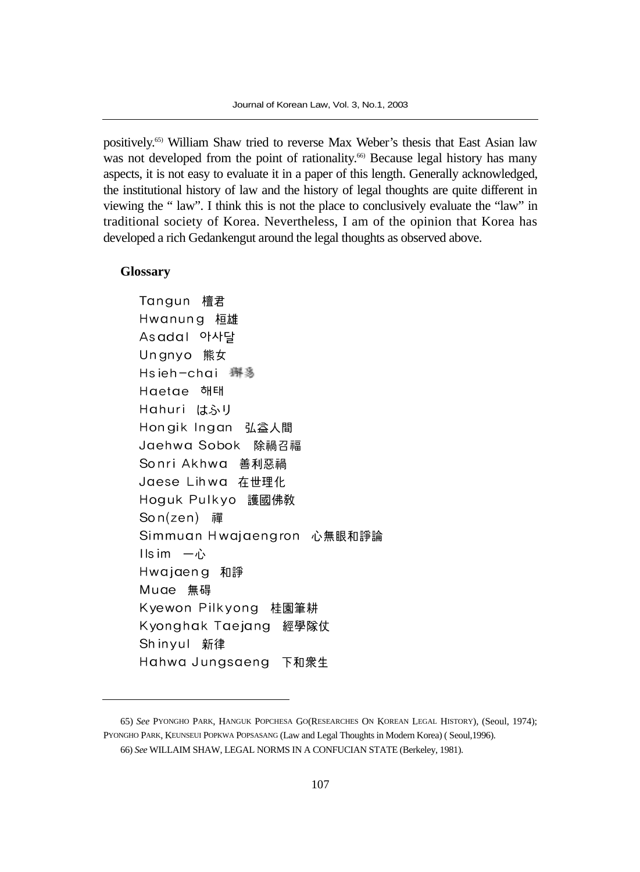positively.65) William Shaw tried to reverse Max Weber's thesis that East Asian law was not developed from the point of rationality.<sup>66)</sup> Because legal history has many aspects, it is not easy to evaluate it in a paper of this length. Generally acknowledged, the institutional history of law and the history of legal thoughts are quite different in viewing the " law". I think this is not the place to conclusively evaluate the "law" in traditional society of Korea. Nevertheless, I am of the opinion that Korea has developed a rich Gedankengut around the legal thoughts as observed above.

#### **Glossary**

Tangun 檀君 Hwanung 桓雄 Asadal 아사달 Ungnyo 熊女 Hsieh-chai 獬豸 Haetae 해태 Hahuri はふり Hongik Ingan 弘益人間 Jaehwa Sobok 除禍召福 Sonri Akhwa 善利惡禍 Jaese Lihwa 在世理化 Hoguk Pulkyo 護國佛教 Son(zen) 禪 Simmuan Hwajaengron 心無眼和諍論  $\overline{1}$  ls im 一心 Hwajaeng 和諍 Muae 無碍 Kyewon Pilkyong 桂園筆耕 Kyonghak Taejang 經學隊仗 Shinyul 新律 Hahwa Jungsaeng 下和衆生

<sup>65)</sup> *See* PYONGHO PARK, HANGUK POPCHESA GO(RESEARCHES ON KOREAN LEGAL HISTORY), (Seoul, 1974); PYONGHO PARK, KEUNSEUI POPKWA POPSASANG (Law and Legal Thoughts in Modern Korea) ( Seoul,1996). 66) *See* WILLAIM SHAW, LEGAL NORMS IN A CONFUCIAN STATE (Berkeley, 1981).